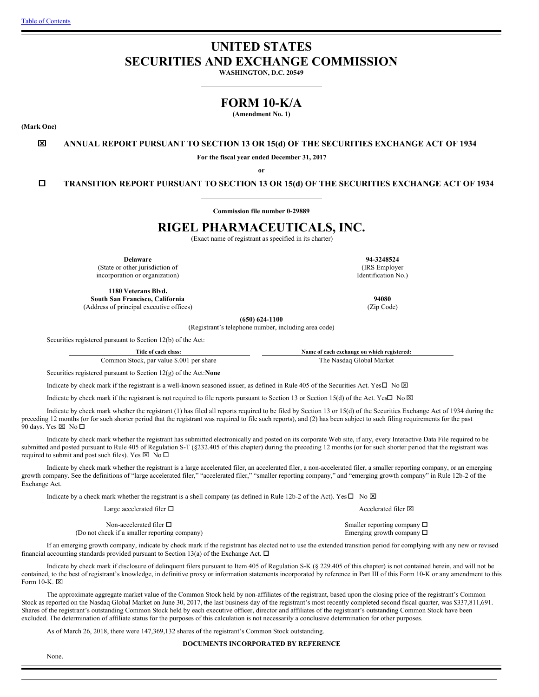# **UNITED STATES SECURITIES AND EXCHANGE COMMISSION**

**WASHINGTON, D.C. 20549**

# **FORM 10-K/A**

**(Amendment No. 1)**

**(Mark One)**

x **ANNUAL REPORT PURSUANT TO SECTION 13 OR 15(d) OF THE SECURITIES EXCHANGE ACT OF 1934**

**For the fiscal year ended December 31, 2017**

**or**

o **TRANSITION REPORT PURSUANT TO SECTION 13 OR 15(d) OF THE SECURITIES EXCHANGE ACT OF 1934**

**Commission file number 0-29889**

# **RIGEL PHARMACEUTICALS, INC.**

(Exact name of registrant as specified in its charter)

**Delaware** (State or other jurisdiction of incorporation or organization)

**1180 Veterans Blvd. South San Francisco, California** (Address of principal executive offices)

**(650) 624-1100**

(Registrant's telephone number, including area code)

Securities registered pursuant to Section 12(b) of the Act:

| Title of each class:                     | Name of each exchange on which registered: |
|------------------------------------------|--------------------------------------------|
| Common Stock, par value \$.001 per share | The Nasdaq Global Market                   |

Securities registered pursuant to Section 12(g) of the Act:**None**

Indicate by check mark if the registrant is a well-known seasoned issuer, as defined in Rule 405 of the Securities Act. Yes $\Box$  No  $\boxtimes$ 

Indicate by check mark if the registrant is not required to file reports pursuant to Section 13 or Section 15(d) of the Act. Yes $\Box$  No  $\boxtimes$ 

Indicate by check mark whether the registrant (1) has filed all reports required to be filed by Section 13 or 15(d) of the Securities Exchange Act of 1934 during the preceding 12 months (or for such shorter period that the registrant was required to file such reports), and (2) has been subject to such filing requirements for the past 90 days. Yes  $\boxtimes$  No  $\square$ 

Indicate by check mark whether the registrant has submitted electronically and posted on its corporate Web site, if any, every Interactive Data File required to be submitted and posted pursuant to Rule 405 of Regulation S-T (§232.405 of this chapter) during the preceding 12 months (or for such shorter period that the registrant was required to submit and post such files). Yes  $\boxtimes$  No  $\square$ 

Indicate by check mark whether the registrant is a large accelerated filer, an accelerated filer, a non-accelerated filer, a smaller reporting company, or an emerging growth company. See the definitions of "large accelerated filer," "accelerated filer," "smaller reporting company," and "emerging growth company" in Rule 12b-2 of the Exchange Act.

Indicate by a check mark whether the registrant is a shell company (as defined in Rule 12b-2 of the Act). Yes  $\Box$  No  $\boxtimes$ 

Large accelerated filer  $\Box$  Accelerated filer  $\boxtimes$ Non-accelerated filer  $\square$ 

(Do not check if a smaller reporting company) Emerging growth company  $\square$ 

If an emerging growth company, indicate by check mark if the registrant has elected not to use the extended transition period for complying with any new or revised financial accounting standards provided pursuant to Section 13(a) of the Exchange Act.  $\Box$ 

Indicate by check mark if disclosure of delinquent filers pursuant to Item 405 of Regulation S-K (§ 229.405 of this chapter) is not contained herein, and will not be contained, to the best of registrant's knowledge, in definitive proxy or information statements incorporated by reference in Part III of this Form 10-K or any amendment to this Form 10-K.  $\boxtimes$ 

The approximate aggregate market value of the Common Stock held by non-affiliates of the registrant, based upon the closing price of the registrant's Common Stock as reported on the Nasdaq Global Market on June 30, 2017, the last business day of the registrant's most recently completed second fiscal quarter, was \$337,811,691. Shares of the registrant's outstanding Common Stock held by each executive officer, director and affiliates of the registrant's outstanding Common Stock have been excluded. The determination of affiliate status for the purposes of this calculation is not necessarily a conclusive determination for other purposes.

As of March 26, 2018, there were 147,369,132 shares of the registrant's Common Stock outstanding.

## **DOCUMENTS INCORPORATED BY REFERENCE**

None.

**94-3248524** (IRS Employer Identification No.)

**94080**

(Zip Code)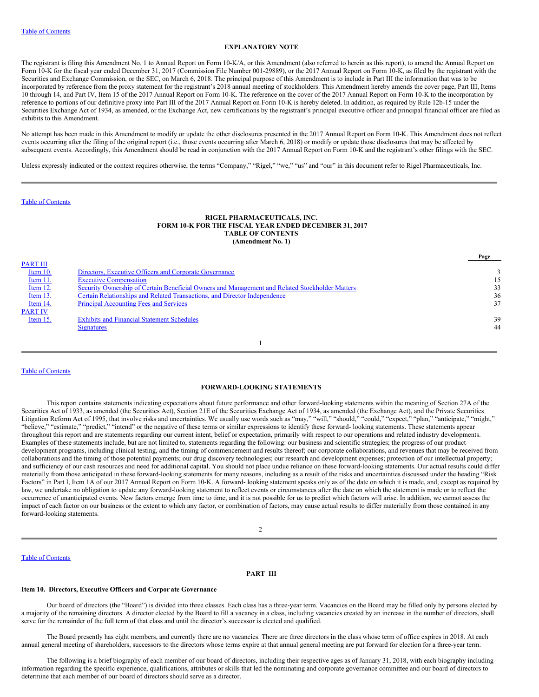## **EXPLANATORY NOTE**

The registrant is filing this Amendment No. 1 to Annual Report on Form 10-K/A, or this Amendment (also referred to herein as this report), to amend the Annual Report on Form 10-K for the fiscal year ended December 31, 2017 (Commission File Number 001-29889), or the 2017 Annual Report on Form 10-K, as filed by the registrant with the Securities and Exchange Commission, or the SEC, on March 6, 2018. The principal purpose of this Amendment is to include in Part III the information that was to be incorporated by reference from the proxy statement for the registrant's 2018 annual meeting of stockholders. This Amendment hereby amends the cover page, Part III, Items 10 through 14, and Part IV, Item 15 of the 2017 Annual Report on Form 10-K. The reference on the cover of the 2017 Annual Report on Form 10-K to the incorporation by reference to portions of our definitive proxy into Part III of the 2017 Annual Report on Form 10-K is hereby deleted. In addition, as required by Rule 12b-15 under the Securities Exchange Act of 1934, as amended, or the Exchange Act, new certifications by the registrant's principal executive officer and principal financial officer are filed as exhibits to this Amendment.

No attempt has been made in this Amendment to modify or update the other disclosures presented in the 2017 Annual Report on Form 10-K. This Amendment does not reflect events occurring after the filing of the original report (i.e., those events occurring after March 6, 2018) or modify or update those disclosures that may be affected by subsequent events. Accordingly, this Amendment should be read in conjunction with the 2017 Annual Report on Form 10-K and the registrant's other filings with the SEC.

Unless expressly indicated or the context requires otherwise, the terms "Company," "Rigel," "we," "us" and "our" in this document refer to Rigel Pharmaceuticals, Inc.

# Table of [Contents](#page-1-0)

#### <span id="page-1-0"></span>**RIGEL PHARMACEUTICALS, INC. FORM 10-K FOR THE FISCAL YEAR ENDED DECEMBER 31, 2017 TABLE OF CONTENTS (Amendment No. 1)**

**Page**

| <b>PART III</b> |                                                                                                |    |
|-----------------|------------------------------------------------------------------------------------------------|----|
| Item 10.        | Directors, Executive Officers and Corporate Governance                                         |    |
| Item 11.        | <b>Executive Compensation</b>                                                                  | 15 |
| Item 12.        | Security Ownership of Certain Beneficial Owners and Management and Related Stockholder Matters | 33 |
| Item 13.        | <b>Certain Relationships and Related Transactions, and Director Independence</b>               | 36 |
| Item 14.        | <b>Principal Accounting Fees and Services</b>                                                  | 37 |
| <b>PART IV</b>  |                                                                                                |    |
| Item 15.        | <b>Exhibits and Financial Statement Schedules</b>                                              | 39 |
|                 | <b>Signatures</b>                                                                              | 44 |
|                 |                                                                                                |    |
|                 |                                                                                                |    |

#### Table of [Contents](#page-1-0)

## **FORWARD-LOOKING STATEMENTS**

This report contains statements indicating expectations about future performance and other forward-looking statements within the meaning of Section 27A of the Securities Act of 1933, as amended (the Securities Act), Section 21E of the Securities Exchange Act of 1934, as amended (the Exchange Act), and the Private Securities Litigation Reform Act of 1995, that involve risks and uncertainties. We usually use words such as "may," "will," "should," "could," "expect," "plan," "anticipate," "might," "believe," "estimate," "predict," "intend" or the negative of these terms or similar expressions to identify these forward- looking statements. These statements appear throughout this report and are statements regarding our current intent, belief or expectation, primarily with respect to our operations and related industry developments. Examples of these statements include, but are not limited to, statements regarding the following: our business and scientific strategies; the progress of our product development programs, including clinical testing, and the timing of commencement and results thereof; our corporate collaborations, and revenues that may be received from collaborations and the timing of those potential payments; our drug discovery technologies; our research and development expenses; protection of our intellectual property; and sufficiency of our cash resources and need for additional capital. You should not place undue reliance on these forward-looking statements. Our actual results could differ materially from those anticipated in these forward-looking statements for many reasons, including as a result of the risks and uncertainties discussed under the heading "Risk Factors" in Part I, Item 1A of our 2017 Annual Report on Form 10-K. A forward- looking statement speaks only as of the date on which it is made, and, except as required by law, we undertake no obligation to update any forward-looking statement to reflect events or circumstances after the date on which the statement is made or to reflect the occurrence of unanticipated events. New factors emerge from time to time, and it is not possible for us to predict which factors will arise. In addition, we cannot assess the impact of each factor on our business or the extent to which any factor, or combination of factors, may cause actual results to differ materially from those contained in any forward-looking statements.

#### Table of [Contents](#page-1-0)

# <span id="page-1-2"></span><span id="page-1-1"></span>**PART III**

2

# **Item 10. Directors, Executive Officers and Corpor ate Governance**

Our board of directors (the "Board") is divided into three classes. Each class has a three-year term. Vacancies on the Board may be filled only by persons elected by a majority of the remaining directors. A director elected by the Board to fill a vacancy in a class, including vacancies created by an increase in the number of directors, shall serve for the remainder of the full term of that class and until the director's successor is elected and qualified.

The Board presently has eight members, and currently there are no vacancies. There are three directors in the class whose term of office expires in 2018. At each annual general meeting of shareholders, successors to the directors whose terms expire at that annual general meeting are put forward for election for a three-year term.

The following is a brief biography of each member of our board of directors, including their respective ages as of January 31, 2018, with each biography including information regarding the specific experience, qualifications, attributes or skills that led the nominating and corporate governance committee and our board of directors to determine that each member of our board of directors should serve as a director.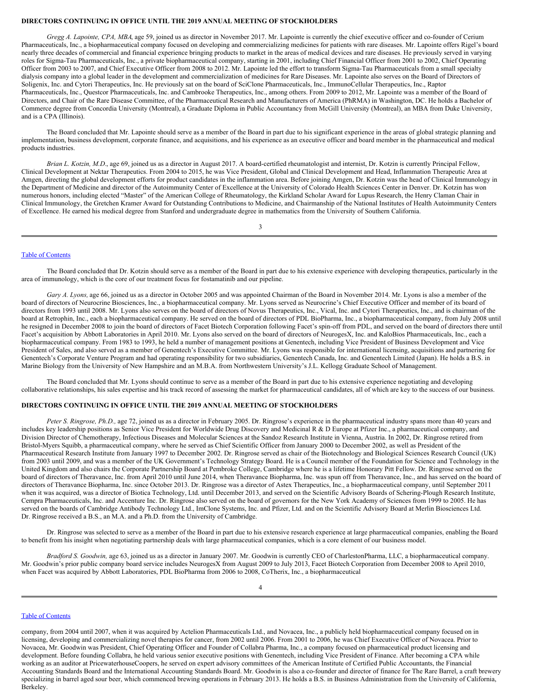## **DIRECTORS CONTINUING IN OFFICE UNTIL THE 2019 ANNUAL MEETING OF STOCKHOLDERS**

*Gregg A. Lapointe, CPA, MBA*, age 59, joined us as director in November 2017. Mr. Lapointe is currently the chief executive officer and co-founder of Cerium Pharmaceuticals, Inc., a biopharmaceutical company focused on developing and commercializing medicines for patients with rare diseases. Mr. Lapointe offers Rigel's board nearly three decades of commercial and financial experience bringing products to market in the areas of medical devices and rare diseases. He previously served in varying roles for Sigma-Tau Pharmaceuticals, Inc., a private biopharmaceutical company, starting in 2001, including Chief Financial Officer from 2001 to 2002, Chief Operating Officer from 2003 to 2007, and Chief Executive Officer from 2008 to 2012. Mr. Lapointe led the effort to transform Sigma-Tau Pharmaceuticals from a small specialty dialysis company into a global leader in the development and commercialization of medicines for Rare Diseases. Mr. Lapointe also serves on the Board of Directors of Soligenix, Inc. and Cytori Therapeutics, Inc. He previously sat on the board of SciClone Pharmaceuticals, Inc., ImmunoCellular Therapeutics, Inc., Raptor Pharmaceuticals, Inc., Questcor Pharmaceuticals, Inc. and Cambrooke Therapeutics, Inc., among others. From 2009 to 2012, Mr. Lapointe was a member of the Board of Directors, and Chair of the Rare Disease Committee, of the Pharmaceutical Research and Manufacturers of America (PhRMA) in Washington, DC. He holds a Bachelor of Commerce degree from Concordia University (Montreal), a Graduate Diploma in Public Accountancy from McGill University (Montreal), an MBA from Duke University, and is a CPA (Illinois).

The Board concluded that Mr. Lapointe should serve as a member of the Board in part due to his significant experience in the areas of global strategic planning and implementation, business development, corporate finance, and acquisitions, and his experience as an executive officer and board member in the pharmaceutical and medical products industries.

*Brian L. Kotzin, M.D.*, age 69, joined us as a director in August 2017. A board-certified rheumatologist and internist, Dr. Kotzin is currently Principal Fellow, Clinical Development at Nektar Therapeutics. From 2004 to 2015, he was Vice President, Global and Clinical Development and Head, Inflammation Therapeutic Area at Amgen, directing the global development efforts for product candidates in the inflammation area. Before joining Amgen, Dr. Kotzin was the head of Clinical Immunology in the Department of Medicine and director of the Autoimmunity Center of Excellence at the University of Colorado Health Sciences Center in Denver. Dr. Kotzin has won numerous honors, including elected "Master" of the American College of Rheumatology, the Kirkland Scholar Award for Lupus Research, the Henry Claman Chair in Clinical Immunology, the Gretchen Kramer Award for Outstanding Contributions to Medicine, and Chairmanship of the National Institutes of Health Autoimmunity Centers of Excellence. He earned his medical degree from Stanford and undergraduate degree in mathematics from the University of Southern California.

3

#### Table of [Contents](#page-1-0)

The Board concluded that Dr. Kotzin should serve as a member of the Board in part due to his extensive experience with developing therapeutics, particularly in the area of immunology, which is the core of our treatment focus for fostamatinib and our pipeline.

*Gary A. Lyons,* age 66, joined us as a director in October 2005 and was appointed Chairman of the Board in November 2014. Mr. Lyons is also a member of the board of directors of Neurocrine Biosciences, Inc., a biopharmaceutical company. Mr. Lyons served as Neurocrine's Chief Executive Officer and member of its board of directors from 1993 until 2008. Mr. Lyons also serves on the board of directors of Novus Therapeutics, Inc., Vical, Inc. and Cytori Therapeutics, Inc., and is chairman of the board at Retrophin, Inc., each a biopharmaceutical company. He served on the board of directors of PDL BioPharma, Inc., a biopharmaceutical company, from July 2008 until he resigned in December 2008 to join the board of directors of Facet Biotech Corporation following Facet's spin-off from PDL, and served on the board of directors there until Facet's acquisition by Abbott Laboratories in April 2010. Mr. Lyons also served on the board of directors of NeurogesX, Inc. and KaloBios Pharmaceuticals, Inc., each a biopharmaceutical company. From 1983 to 1993, he held a number of management positions at Genentech, including Vice President of Business Development and Vice President of Sales, and also served as a member of Genentech's Executive Committee. Mr. Lyons was responsible for international licensing, acquisitions and partnering for Genentech's Corporate Venture Program and had operating responsibility for two subsidiaries, Genentech Canada, Inc. and Genentech Limited (Japan). He holds a B.S. in Marine Biology from the University of New Hampshire and an M.B.A. from Northwestern University's J.L. Kellogg Graduate School of Management.

The Board concluded that Mr. Lyons should continue to serve as a member of the Board in part due to his extensive experience negotiating and developing collaborative relationships, his sales expertise and his track record of assessing the market for pharmaceutical candidates, all of which are key to the success of our business.

# **DIRECTORS CONTINUING IN OFFICE UNTIL THE 2019 ANNUAL MEETING OF STOCKHOLDERS**

*Peter S. Ringrose, Ph.D.,* age 72, joined us as a director in February 2005. Dr. Ringrose's experience in the pharmaceutical industry spans more than 40 years and includes key leadership positions as Senior Vice President for Worldwide Drug Discovery and Medicinal R & D Europe at Pfizer Inc., a pharmaceutical company, and Division Director of Chemotherapy, Infectious Diseases and Molecular Sciences at the Sandoz Research Institute in Vienna, Austria. In 2002, Dr. Ringrose retired from Bristol-Myers Squibb, a pharmaceutical company, where he served as Chief Scientific Officer from January 2000 to December 2002, as well as President of the Pharmaceutical Research Institute from January 1997 to December 2002. Dr. Ringrose served as chair of the Biotechnology and Biological Sciences Research Council (UK) from 2003 until 2009, and was a member of the UK Government's Technology Strategy Board. He is a Council member of the Foundation for Science and Technology in the United Kingdom and also chairs the Corporate Partnership Board at Pembroke College, Cambridge where he is a lifetime Honorary Pitt Fellow. Dr. Ringrose served on the board of directors of Theravance, Inc. from April 2010 until June 2014, when Theravance Biopharma, Inc. was spun off from Theravance, Inc., and has served on the board of directors of Theravance Biopharma, Inc. since October 2013. Dr. Ringrose was a director of Astex Therapeutics, Inc., a biopharmaceutical company, until September 2011 when it was acquired, was a director of Biotica Technology, Ltd. until December 2013, and served on the Scientific Advisory Boards of Schering-Plough Research Institute, Cempra Pharmaceuticals, Inc. and Accenture Inc. Dr. Ringrose also served on the board of governors for the New York Academy of Sciences from 1999 to 2005. He has served on the boards of Cambridge Antibody Technology Ltd., ImClone Systems, Inc. and Pfizer, Ltd. and on the Scientific Advisory Board at Merlin Biosciences Ltd. Dr. Ringrose received a B.S., an M.A. and a Ph.D. from the University of Cambridge.

Dr. Ringrose was selected to serve as a member of the Board in part due to his extensive research experience at large pharmaceutical companies, enabling the Board to benefit from his insight when negotiating partnership deals with large pharmaceutical companies, which is a core element of our business model.

*Bradford S. Goodwin,* age 63, joined us as a director in January 2007. Mr. Goodwin is currently CEO of CharlestonPharma, LLC, a biopharmaceutical company. Mr. Goodwin's prior public company board service includes NeurogesX from August 2009 to July 2013, Facet Biotech Corporation from December 2008 to April 2010, when Facet was acquired by Abbott Laboratories, PDL BioPharma from 2006 to 2008, CoTherix, Inc., a biopharmaceutical

## Table of [Contents](#page-1-0)

company, from 2004 until 2007, when it was acquired by Actelion Pharmaceuticals Ltd., and Novacea, Inc., a publicly held biopharmaceutical company focused on in licensing, developing and commercializing novel therapies for cancer, from 2002 until 2006. From 2001 to 2006, he was Chief Executive Officer of Novacea. Prior to Novacea, Mr. Goodwin was President, Chief Operating Officer and Founder of Collabra Pharma, Inc., a company focused on pharmaceutical product licensing and development. Before founding Collabra, he held various senior executive positions with Genentech, including Vice President of Finance. After becoming a CPA while working as an auditor at PricewaterhouseCoopers, he served on expert advisory committees of the American Institute of Certified Public Accountants, the Financial Accounting Standards Board and the International Accounting Standards Board. Mr. Goodwin is also a co-founder and director of finance for The Rare Barrel, a craft brewery specializing in barrel aged sour beer, which commenced brewing operations in February 2013. He holds a B.S. in Business Administration from the University of California, Berkeley.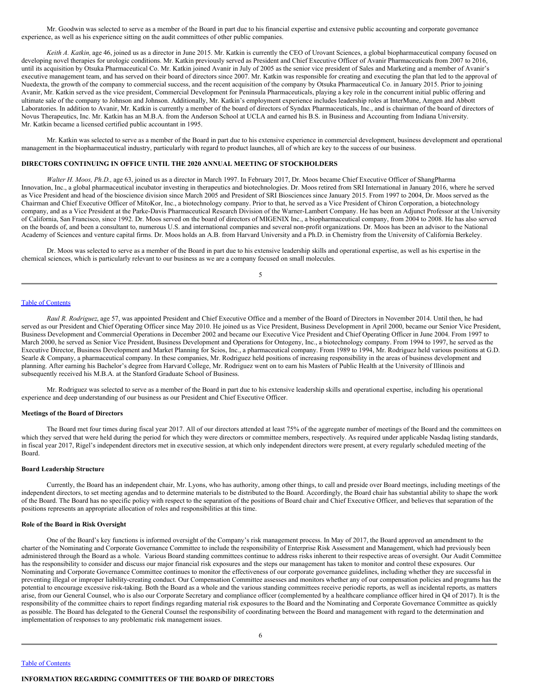Mr. Goodwin was selected to serve as a member of the Board in part due to his financial expertise and extensive public accounting and corporate governance experience, as well as his experience sitting on the audit committees of other public companies.

*Keith A. Katkin,* age 46, joined us as a director in June 2015. Mr. Katkin is currently the CEO of Urovant Sciences, a global biopharmaceutical company focused on developing novel therapies for urologic conditions. Mr. Katkin previously served as President and Chief Executive Officer of Avanir Pharmaceuticals from 2007 to 2016, until its acquisition by Otsuka Pharmaceutical Co. Mr. Katkin joined Avanir in July of 2005 as the senior vice president of Sales and Marketing and a member of Avanir's executive management team, and has served on their board of directors since 2007. Mr. Katkin was responsible for creating and executing the plan that led to the approval of Nuedexta, the growth of the company to commercial success, and the recent acquisition of the company by Otsuka Pharmaceutical Co. in January 2015. Prior to joining Avanir, Mr. Katkin served as the vice president, Commercial Development for Peninsula Pharmaceuticals, playing a key role in the concurrent initial public offering and ultimate sale of the company to Johnson and Johnson. Additionally, Mr. Katkin's employment experience includes leadership roles at InterMune, Amgen and Abbott Laboratories. In addition to Avanir, Mr. Katkin is currently a member of the board of directors of Syndax Pharmaceuticals, Inc., and is chairman of the board of directors of Novus Therapeutics, Inc. Mr. Katkin has an M.B.A. from the Anderson School at UCLA and earned his B.S. in Business and Accounting from Indiana University. Mr. Katkin became a licensed certified public accountant in 1995.

Mr. Katkin was selected to serve as a member of the Board in part due to his extensive experience in commercial development, business development and operational management in the biopharmaceutical industry, particularly with regard to product launches, all of which are key to the success of our business.

# **DIRECTORS CONTINUING IN OFFICE UNTIL THE 2020 ANNUAL MEETING OF STOCKHOLDERS**

*Walter H. Moos, Ph.D.,* age 63, joined us as a director in March 1997. In February 2017, Dr. Moos became Chief Executive Officer of ShangPharma Innovation, Inc., a global pharmaceutical incubator investing in therapeutics and biotechnologies. Dr. Moos retired from SRI International in January 2016, where he served as Vice President and head of the bioscience division since March 2005 and President of SRI Biosciences since January 2015. From 1997 to 2004, Dr. Moos served as the Chairman and Chief Executive Officer of MitoKor, Inc., a biotechnology company. Prior to that, he served as a Vice President of Chiron Corporation, a biotechnology company, and as a Vice President at the Parke-Davis Pharmaceutical Research Division of the Warner-Lambert Company. He has been an Adjunct Professor at the University of California, San Francisco, since 1992. Dr. Moos served on the board of directors of MIGENIX Inc., a biopharmaceutical company, from 2004 to 2008. He has also served on the boards of, and been a consultant to, numerous U.S. and international companies and several non-profit organizations. Dr. Moos has been an advisor to the National Academy of Sciences and venture capital firms. Dr. Moos holds an A.B. from Harvard University and a Ph.D. in Chemistry from the University of California Berkeley.

Dr. Moos was selected to serve as a member of the Board in part due to his extensive leadership skills and operational expertise, as well as his expertise in the chemical sciences, which is particularly relevant to our business as we are a company focused on small molecules.

#### Table of [Contents](#page-1-0)

*Raul R. Rodriguez*, age 57, was appointed President and Chief Executive Office and a member of the Board of Directors in November 2014. Until then, he had served as our President and Chief Operating Officer since May 2010. He joined us as Vice President, Business Development in April 2000, became our Senior Vice President, Business Development and Commercial Operations in December 2002 and became our Executive Vice President and Chief Operating Officer in June 2004. From 1997 to March 2000, he served as Senior Vice President, Business Development and Operations for Ontogeny, Inc., a biotechnology company. From 1994 to 1997, he served as the Executive Director, Business Development and Market Planning for Scios, Inc., a pharmaceutical company. From 1989 to 1994, Mr. Rodriguez held various positions at G.D. Searle & Company, a pharmaceutical company. In these companies, Mr. Rodriguez held positions of increasing responsibility in the areas of business development and planning. After earning his Bachelor's degree from Harvard College, Mr. Rodriguez went on to earn his Masters of Public Health at the University of Illinois and subsequently received his M.B.A. at the Stanford Graduate School of Business.

Mr. Rodriguez was selected to serve as a member of the Board in part due to his extensive leadership skills and operational expertise, including his operational experience and deep understanding of our business as our President and Chief Executive Officer.

## **Meetings of the Board of Directors**

The Board met four times during fiscal year 2017. All of our directors attended at least 75% of the aggregate number of meetings of the Board and the committees on which they served that were held during the period for which they were directors or committee members, respectively. As required under applicable Nasdaq listing standards, in fiscal year 2017, Rigel's independent directors met in executive session, at which only independent directors were present, at every regularly scheduled meeting of the Board.

## **Board Leadership Structure**

Currently, the Board has an independent chair, Mr. Lyons, who has authority, among other things, to call and preside over Board meetings, including meetings of the independent directors, to set meeting agendas and to determine materials to be distributed to the Board. Accordingly, the Board chair has substantial ability to shape the work of the Board. The Board has no specific policy with respect to the separation of the positions of Board chair and Chief Executive Officer, and believes that separation of the positions represents an appropriate allocation of roles and responsibilities at this time.

#### **Role of the Board in Risk Oversight**

One of the Board's key functions is informed oversight of the Company's risk management process. In May of 2017, the Board approved an amendment to the charter of the Nominating and Corporate Governance Committee to include the responsibility of Enterprise Risk Assessment and Management, which had previously been administered through the Board as a whole. Various Board standing committees continue to address risks inherent to their respective areas of oversight. Our Audit Committee has the responsibility to consider and discuss our major financial risk exposures and the steps our management has taken to monitor and control these exposures. Our Nominating and Corporate Governance Committee continues to monitor the effectiveness of our corporate governance guidelines, including whether they are successful in preventing illegal or improper liability-creating conduct. Our Compensation Committee assesses and monitors whether any of our compensation policies and programs has the potential to encourage excessive risk-taking. Both the Board as a whole and the various standing committees receive periodic reports, as well as incidental reports, as matters arise, from our General Counsel, who is also our Corporate Secretary and compliance officer (complemented by a healthcare compliance officer hired in Q4 of 2017). It is the responsibility of the committee chairs to report findings regarding material risk exposures to the Board and the Nominating and Corporate Governance Committee as quickly as possible. The Board has delegated to the General Counsel the responsibility of coordinating between the Board and management with regard to the determination and implementation of responses to any problematic risk management issues.

<sup>5</sup>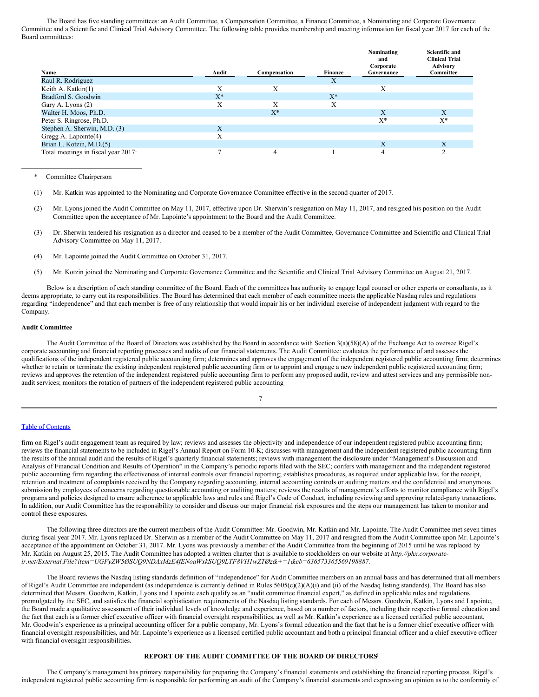The Board has five standing committees: an Audit Committee, a Compensation Committee, a Finance Committee, a Nominating and Corporate Governance Committee and a Scientific and Clinical Trial Advisory Committee. The following table provides membership and meeting information for fiscal year 2017 for each of the Board committees:

|                                     |       |              |         | Nominating<br>and<br>Corporate | <b>Scientific and</b><br><b>Clinical Trial</b><br><b>Advisory</b> |
|-------------------------------------|-------|--------------|---------|--------------------------------|-------------------------------------------------------------------|
| Name                                | Audit | Compensation | Finance | Governance                     | Committee                                                         |
| Raul R. Rodriguez                   |       |              | X       |                                |                                                                   |
| Keith A. Katkin(1)                  | X     | X            |         | Х                              |                                                                   |
| Bradford S. Goodwin                 | $X^*$ |              | $X^*$   |                                |                                                                   |
| Gary A. Lyons (2)                   | Х     | X            | Х       |                                |                                                                   |
| Walter H. Moos, Ph.D.               |       | $X^*$        |         | $\mathbf{X}$                   | X                                                                 |
| Peter S. Ringrose, Ph.D.            |       |              |         | $X^*$                          | X*                                                                |
| Stephen A. Sherwin, M.D. (3)        | X     |              |         |                                |                                                                   |
| Gregg A. Lapointe(4)                | Х     |              |         |                                |                                                                   |
| Brian L. Kotzin, M.D.(5)            |       |              |         | $\mathbf{X}$                   | X                                                                 |
| Total meetings in fiscal year 2017: |       | 4            |         |                                | $\mathcal{L}$                                                     |

Committee Chairperson

- (1) Mr. Katkin was appointed to the Nominating and Corporate Governance Committee effective in the second quarter of 2017.
- (2) Mr. Lyons joined the Audit Committee on May 11, 2017, effective upon Dr. Sherwin's resignation on May 11, 2017, and resigned his position on the Audit Committee upon the acceptance of Mr. Lapointe's appointment to the Board and the Audit Committee.
- (3) Dr. Sherwin tendered his resignation as a director and ceased to be a member of the Audit Committee, Governance Committee and Scientific and Clinical Trial Advisory Committee on May 11, 2017.
- (4) Mr. Lapointe joined the Audit Committee on October 31, 2017.
- (5) Mr. Kotzin joined the Nominating and Corporate Governance Committee and the Scientific and Clinical Trial Advisory Committee on August 21, 2017.

Below is a description of each standing committee of the Board. Each of the committees has authority to engage legal counsel or other experts or consultants, as it deems appropriate, to carry out its responsibilities. The Board has determined that each member of each committee meets the applicable Nasdaq rules and regulations regarding "independence" and that each member is free of any relationship that would impair his or her individual exercise of independent judgment with regard to the Company.

## **Audit Committee**

The Audit Committee of the Board of Directors was established by the Board in accordance with Section 3(a)(58)(A) of the Exchange Act to oversee Rigel's corporate accounting and financial reporting processes and audits of our financial statements. The Audit Committee: evaluates the performance of and assesses the qualifications of the independent registered public accounting firm; determines and approves the engagement of the independent registered public accounting firm; determines whether to retain or terminate the existing independent registered public accounting firm or to appoint and engage a new independent public registered accounting firm; reviews and approves the retention of the independent registered public accounting firm to perform any proposed audit, review and attest services and any permissible nonaudit services; monitors the rotation of partners of the independent registered public accounting

## 7

## Table of [Contents](#page-1-0)

firm on Rigel's audit engagement team as required by law; reviews and assesses the objectivity and independence of our independent registered public accounting firm; reviews the financial statements to be included in Rigel's Annual Report on Form 10-K; discusses with management and the independent registered public accounting firm the results of the annual audit and the results of Rigel's quarterly financial statements; reviews with management the disclosure under "Management's Discussion and Analysis of Financial Condition and Results of Operation" in the Company's periodic reports filed with the SEC; confers with management and the independent registered public accounting firm regarding the effectiveness of internal controls over financial reporting; establishes procedures, as required under applicable law, for the receipt, retention and treatment of complaints received by the Company regarding accounting, internal accounting controls or auditing matters and the confidential and anonymous submission by employees of concerns regarding questionable accounting or auditing matters; reviews the results of management's efforts to monitor compliance with Rigel's programs and policies designed to ensure adherence to applicable laws and rules and Rigel's Code of Conduct, including reviewing and approving related-party transactions. In addition, our Audit Committee has the responsibility to consider and discuss our major financial risk exposures and the steps our management has taken to monitor and control these exposures.

The following three directors are the current members of the Audit Committee: Mr. Goodwin, Mr. Katkin and Mr. Lapointe. The Audit Committee met seven times during fiscal year 2017. Mr. Lyons replaced Dr. Sherwin as a member of the Audit Committee on May 11, 2017 and resigned from the Audit Committee upon Mr. Lapointe's acceptance of the appointment on October 31, 2017. Mr. Lyons was previously a member of the Audit Committee from the beginning of 2015 until he was replaced by Mr. Katkin on August 25, 2015. The Audit Committee has adopted a written charter that is available to stockholders on our website at *http://phx.corporateir.net/External.File?item=UGFyZW5ØSUQ9NDAxMzE4fENoaWxkSUQ9LTF8VH1wZTØz&+=1&cb=636573365569198887.*

The Board reviews the Nasdaq listing standards definition of "independence" for Audit Committee members on an annual basis and has determined that all members of Rigel's Audit Committee are independent (as independence is currently defined in Rules 5605(c)(2)(A)(i) and (ii) of the Nasdaq listing standards). The Board has also determined that Messrs. Goodwin, Katkin, Lyons and Lapointe each qualify as an "audit committee financial expert," as defined in applicable rules and regulations promulgated by the SEC, and satisfies the financial sophistication requirements of the Nasdaq listing standards. For each of Messrs. Goodwin, Katkin, Lyons and Lapointe, the Board made a qualitative assessment of their individual levels of knowledge and experience, based on a number of factors, including their respective formal education and the fact that each is a former chief executive officer with financial oversight responsibilities, as well as Mr. Katkin's experience as a licensed certified public accountant, Mr. Goodwin's experience as a principal accounting officer for a public company, Mr. Lyons's formal education and the fact that he is a former chief executive officer with financial oversight responsibilities, and Mr. Lapointe's experience as a licensed certified public accountant and both a principal financial officer and a chief executive officer with financial oversight responsibilities.

#### **REPORT OF THE AUDIT COMMITTEE OF THE BOARD OF DIRECTORS 1**

The Company's management has primary responsibility for preparing the Company's financial statements and establishing the financial reporting process. Rigel's independent registered public accounting firm is responsible for performing an audit of the Company's financial statements and expressing an opinion as to the conformity of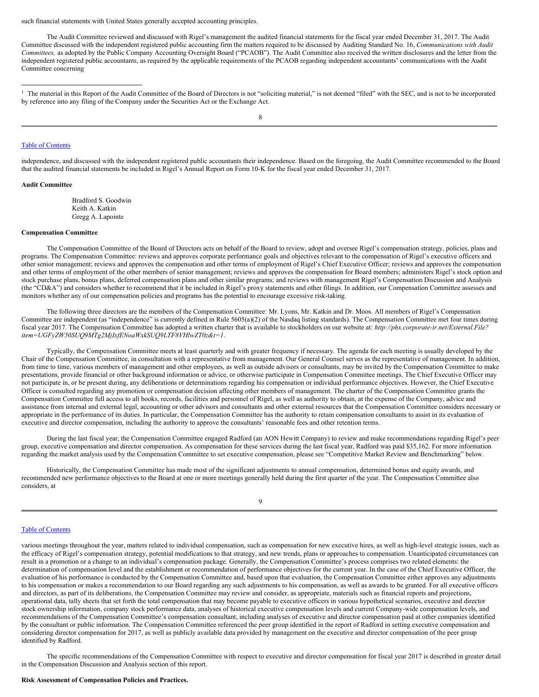such financial statements with United States generally accepted accounting principles.

The Audit Committee reviewed and discussed with Rigel's management the audited financial statements for the fiscal year ended December 31, 2017. The Audit Committee discussed with the independent registered public accounting firm the matters required to be discussed by Auditing Standard No. 16, *Communications with Audit Committees,* as adopted by the Public Company Accounting Oversight Board ("PCAOB"). The Audit Committee also received the written disclosures and the letter from the independent registered public accountants, as required by the applicable requirements of the PCAOB regarding independent accountants' communications with the Audit Committee concerning

<sup>1</sup> The material in this Report of the Audit Committee of the Board of Directors is not "soliciting material," is not deemed "filed" with the SEC, and is not to be incorporated by reference into any filing of the Company under the Securities Act or the Exchange Act.

#### Table of [Contents](#page-1-0)

independence, and discussed with the independent registered public accountants their independence. Based on the foregoing, the Audit Committee recommended to the Board that the audited financial statements be included in Rigel's Annual Report on Form 10-K for the fiscal year ended December 31, 2017.

## **Audit Committee**

Bradford S. Goodwin Keith A. Katkin Gregg A. Lapointe

## **Compensation Committee**

The Compensation Committee of the Board of Directors acts on behalf of the Board to review, adopt and oversee Rigel's compensation strategy, policies, plans and programs. The Compensation Committee: reviews and approves corporate performance goals and objectives relevant to the compensation of Rigel's executive officers and other senior management; reviews and approves the compensation and other terms of employment of Rigel's Chief Executive Officer; reviews and approves the compensation and other terms of employment of the other members of senior management; reviews and approves the compensation for Board members; administers Rigel's stock option and stock purchase plans, bonus plans, deferred compensation plans and other similar programs; and reviews with management Rigel's Compensation Discussion and Analysis (the "CD&A") and considers whether to recommend that it be included in Rigel's proxy statements and other filings. In addition, our Compensation Committee assesses and monitors whether any of our compensation policies and programs has the potential to encourage excessive risk-taking.

The following three directors are the members of the Compensation Committee: Mr. Lyons, Mr. Katkin and Dr. Moos. All members of Rigel's Compensation Committee are independent (as "independence" is currently defined in Rule 5605(a)(2) of the Nasdaq listing standards). The Compensation Committee met four times during fiscal year 2017. The Compensation Committee has adopted a written charter that is available to stockholders on our website at: *http://phx.corporate-ir.net/External.File? item=UGFyZW50SUQ9MTg2MjIxfENoaWxkSUQ9LTF8VHlwZT0z&t=1*.

Typically, the Compensation Committee meets at least quarterly and with greater frequency if necessary. The agenda for each meeting is usually developed by the Chair of the Compensation Committee, in consultation with a representative from management. Our General Counsel serves as the representative of management. In addition, from time to time, various members of management and other employees, as well as outside advisors or consultants, may be invited by the Compensation Committee to make presentations, provide financial or other background information or advice, or otherwise participate in Compensation Committee meetings. The Chief Executive Officer may not participate in, or be present during, any deliberations or determinations regarding his compensation or individual performance objectives. However, the Chief Executive Officer is consulted regarding any promotion or compensation decision affecting other members of management. The charter of the Compensation Committee grants the Compensation Committee full access to all books, records, facilities and personnel of Rigel, as well as authority to obtain, at the expense of the Company, advice and assistance from internal and external legal, accounting or other advisors and consultants and other external resources that the Compensation Committee considers necessary or appropriate in the performance of its duties. In particular, the Compensation Committee has the authority to retain compensation consultants to assist in its evaluation of executive and director compensation, including the authority to approve the consultants' reasonable fees and other retention terms.

During the last fiscal year, the Compensation Committee engaged Radford (an AON Hewitt Company) to review and make recommendations regarding Rigel's peer group, executive compensation and director compensation. As compensation for these services during the last fiscal year, Radford was paid \$35,162. For more information regarding the market analysis used by the Compensation Committee to set executive compensation, please see "Competitive Market Review and Benchmarking" below.

Historically, the Compensation Committee has made most of the significant adjustments to annual compensation, determined bonus and equity awards, and recommended new performance objectives to the Board at one or more meetings generally held during the first quarter of the year. The Compensation Committee also considers, at

#### 9

#### Table of [Contents](#page-1-0)

various meetings throughout the year, matters related to individual compensation, such as compensation for new executive hires, as well as high-level strategic issues, such as the efficacy of Rigel's compensation strategy, potential modifications to that strategy, and new trends, plans or approaches to compensation. Unanticipated circumstances can result in a promotion or a change to an individual's compensation package. Generally, the Compensation Committee's process comprises two related elements: the determination of compensation level and the establishment or recommendation of performance objectives for the current year. In the case of the Chief Executive Officer, the evaluation of his performance is conducted by the Compensation Committee and, based upon that evaluation, the Compensation Committee either approves any adjustments to his compensation or makes a recommendation to our Board regarding any such adjustments to his compensation, as well as awards to be granted. For all executive officers and directors, as part of its deliberations, the Compensation Committee may review and consider, as appropriate, materials such as financial reports and projections, operational data, tally sheets that set forth the total compensation that may become payable to executive officers in various hypothetical scenarios, executive and director stock ownership information, company stock performance data, analyses of historical executive compensation levels and current Company-wide compensation levels, and recommendations of the Compensation Committee's compensation consultant, including analyses of executive and director compensation paid at other companies identified by the consultant or public information. The Compensation Committee referenced the peer group identified in the report of Radford in setting executive compensation and considering director compensation for 2017, as well as publicly available data provided by management on the executive and director compensation of the peer group identified by Radford.

The specific recommendations of the Compensation Committee with respect to executive and director compensation for fiscal year 2017 is described in greater detail in the Compensation Discussion and Analysis section of this report.

#### **Risk Assessment of Compensation Policies and Practices.**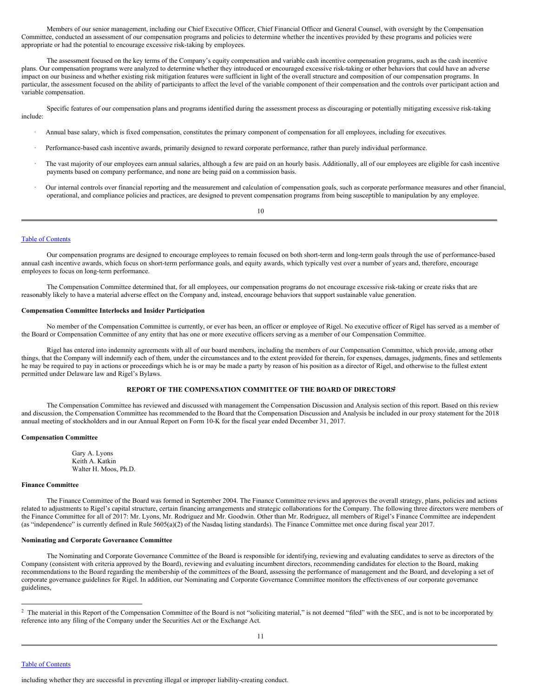Members of our senior management, including our Chief Executive Officer, Chief Financial Officer and General Counsel, with oversight by the Compensation Committee, conducted an assessment of our compensation programs and policies to determine whether the incentives provided by these programs and policies were appropriate or had the potential to encourage excessive risk-taking by employees.

The assessment focused on the key terms of the Company's equity compensation and variable cash incentive compensation programs, such as the cash incentive plans. Our compensation programs were analyzed to determine whether they introduced or encouraged excessive risk-taking or other behaviors that could have an adverse impact on our business and whether existing risk mitigation features were sufficient in light of the overall structure and composition of our compensation programs. In particular, the assessment focused on the ability of participants to affect the level of the variable component of their compensation and the controls over participant action and variable compensation.

Specific features of our compensation plans and programs identified during the assessment process as discouraging or potentially mitigating excessive risk-taking include:

- · Annual base salary, which is fixed compensation, constitutes the primary component of compensation for all employees, including for executives.
- · Performance-based cash incentive awards, primarily designed to reward corporate performance, rather than purely individual performance.
- The vast majority of our employees earn annual salaries, although a few are paid on an hourly basis. Additionally, all of our employees are eligible for cash incentive payments based on company performance, and none are being paid on a commission basis.
- · Our internal controls over financial reporting and the measurement and calculation of compensation goals, such as corporate performance measures and other financial, operational, and compliance policies and practices, are designed to prevent compensation programs from being susceptible to manipulation by any employee.

10

## Table of [Contents](#page-1-0)

Our compensation programs are designed to encourage employees to remain focused on both short-term and long-term goals through the use of performance-based annual cash incentive awards, which focus on short-term performance goals, and equity awards, which typically vest over a number of years and, therefore, encourage employees to focus on long-term performance.

The Compensation Committee determined that, for all employees, our compensation programs do not encourage excessive risk-taking or create risks that are reasonably likely to have a material adverse effect on the Company and, instead, encourage behaviors that support sustainable value generation.

#### **Compensation Committee Interlocks and Insider Participation**

No member of the Compensation Committee is currently, or ever has been, an officer or employee of Rigel. No executive officer of Rigel has served as a member of the Board or Compensation Committee of any entity that has one or more executive officers serving as a member of our Compensation Committee.

Rigel has entered into indemnity agreements with all of our board members, including the members of our Compensation Committee, which provide, among other things, that the Company will indemnify each of them, under the circumstances and to the extent provided for therein, for expenses, damages, judgments, fines and settlements he may be required to pay in actions or proceedings which he is or may be made a party by reason of his position as a director of Rigel, and otherwise to the fullest extent permitted under Delaware law and Rigel's Bylaws.

#### **REPORT OF THE COMPENSATION COMMITTEE OF THE BOARD OF DIRECTORS 2**

The Compensation Committee has reviewed and discussed with management the Compensation Discussion and Analysis section of this report. Based on this review and discussion, the Compensation Committee has recommended to the Board that the Compensation Discussion and Analysis be included in our proxy statement for the 2018 annual meeting of stockholders and in our Annual Report on Form 10-K for the fiscal year ended December 31, 2017.

#### **Compensation Committee**

Gary A. Lyons Keith A. Katkin Walter H. Moos, Ph.D.

#### **Finance Committee**

The Finance Committee of the Board was formed in September 2004. The Finance Committee reviews and approves the overall strategy, plans, policies and actions related to adjustments to Rigel's capital structure, certain financing arrangements and strategic collaborations for the Company. The following three directors were members of the Finance Committee for all of 2017: Mr. Lyons, Mr. Rodriguez and Mr. Goodwin. Other than Mr. Rodriguez, all members of Rigel's Finance Committee are independent (as "independence" is currently defined in Rule 5605(a)(2) of the Nasdaq listing standards). The Finance Committee met once during fiscal year 2017.

## **Nominating and Corporate Governance Committee**

The Nominating and Corporate Governance Committee of the Board is responsible for identifying, reviewing and evaluating candidates to serve as directors of the Company (consistent with criteria approved by the Board), reviewing and evaluating incumbent directors, recommending candidates for election to the Board, making recommendations to the Board regarding the membership of the committees of the Board, assessing the performance of management and the Board, and developing a set of corporate governance guidelines for Rigel. In addition, our Nominating and Corporate Governance Committee monitors the effectiveness of our corporate governance guidelines,

<sup>&</sup>lt;sup>2</sup> The material in this Report of the Compensation Committee of the Board is not "soliciting material," is not deemed "filed" with the SEC, and is not to be incorporated by reference into any filing of the Company under the Securities Act or the Exchange Act.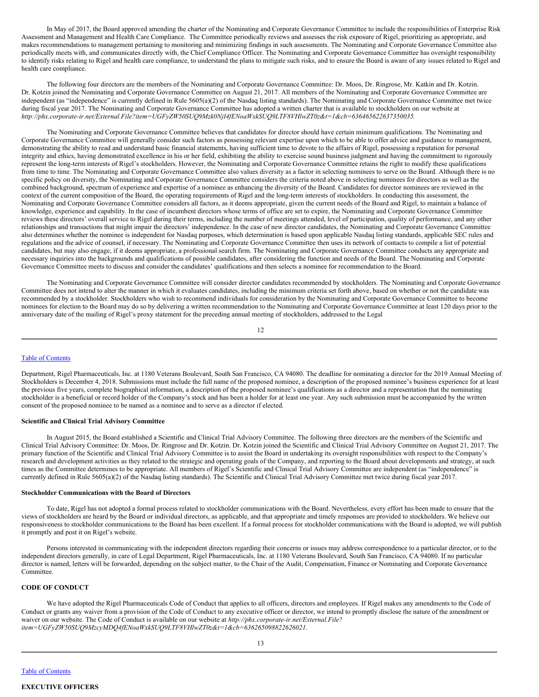In May of 2017, the Board approved amending the charter of the Nominating and Corporate Governance Committee to include the responsibilities of Enterprise Risk Assessment and Management and Health Care Compliance. The Committee periodically reviews and assesses the risk exposure of Rigel, prioritizing as appropriate, and makes recommendations to management pertaining to monitoring and minimizing findings in such assessments. The Nominating and Corporate Governance Committee also periodically meets with, and communicates directly with, the Chief Compliance Officer. The Nominating and Corporate Governance Committee has oversight responsibility to identify risks relating to Rigel and health care compliance, to understand the plans to mitigate such risks, and to ensure the Board is aware of any issues related to Rigel and health care compliance.

The following four directors are the members of the Nominating and Corporate Governance Committee: Dr. Moos, Dr. Ringrose, Mr. Katkin and Dr. Kotzin. Dr. Kotzin joined the Nominating and Corporate Governance Committee on August 21, 2017. All members of the Nominating and Corporate Governance Committee are independent (as "independence" is currently defined in Rule 5605(a)(2) of the Nasdaq listing standards). The Nominating and Corporate Governance Committee met twice during fiscal year 2017. The Nominating and Corporate Governance Committee has adopted a written charter that is available to stockholders on our website at *http://phx.corporate-ir.net/External.File?item=UGFyZW50SUQ9Mzk0NjI4fENoaWxkSUQ9LTF8VHlwZT0z&t=1&cb=636465622637350035.*

The Nominating and Corporate Governance Committee believes that candidates for director should have certain minimum qualifications. The Nominating and Corporate Governance Committee will generally consider such factors as possessing relevant expertise upon which to be able to offer advice and guidance to management, demonstrating the ability to read and understand basic financial statements, having sufficient time to devote to the affairs of Rigel, possessing a reputation for personal integrity and ethics, having demonstrated excellence in his or her field, exhibiting the ability to exercise sound business judgment and having the commitment to rigorously represent the long-term interests of Rigel's stockholders. However, the Nominating and Corporate Governance Committee retains the right to modify these qualifications from time to time. The Nominating and Corporate Governance Committee also values diversity as a factor in selecting nominees to serve on the Board. Although there is no specific policy on diversity, the Nominating and Corporate Governance Committee considers the criteria noted above in selecting nominees for directors as well as the combined background, spectrum of experience and expertise of a nominee as enhancing the diversity of the Board. Candidates for director nominees are reviewed in the context of the current composition of the Board, the operating requirements of Rigel and the long-term interests of stockholders. In conducting this assessment, the Nominating and Corporate Governance Committee considers all factors, as it deems appropriate, given the current needs of the Board and Rigel, to maintain a balance of knowledge, experience and capability. In the case of incumbent directors whose terms of office are set to expire, the Nominating and Corporate Governance Committee reviews these directors' overall service to Rigel during their terms, including the number of meetings attended, level of participation, quality of performance, and any other relationships and transactions that might impair the directors' independence. In the case of new director candidates, the Nominating and Corporate Governance Committee also determines whether the nominee is independent for Nasdaq purposes, which determination is based upon applicable Nasdaq listing standards, applicable SEC rules and regulations and the advice of counsel, if necessary. The Nominating and Corporate Governance Committee then uses its network of contacts to compile a list of potential candidates, but may also engage, if it deems appropriate, a professional search firm. The Nominating and Corporate Governance Committee conducts any appropriate and necessary inquiries into the backgrounds and qualifications of possible candidates, after considering the function and needs of the Board. The Nominating and Corporate Governance Committee meets to discuss and consider the candidates' qualifications and then selects a nominee for recommendation to the Board.

The Nominating and Corporate Governance Committee will consider director candidates recommended by stockholders. The Nominating and Corporate Governance Committee does not intend to alter the manner in which it evaluates candidates, including the minimum criteria set forth above, based on whether or not the candidate was recommended by a stockholder. Stockholders who wish to recommend individuals for consideration by the Nominating and Corporate Governance Committee to become nominees for election to the Board may do so by delivering a written recommendation to the Nominating and Corporate Governance Committee at least 120 days prior to the anniversary date of the mailing of Rigel's proxy statement for the preceding annual meeting of stockholders, addressed to the Legal

12

# Table of [Contents](#page-1-0)

Department, Rigel Pharmaceuticals, Inc. at 1180 Veterans Boulevard, South San Francisco, CA 94080. The deadline for nominating a director for the 2019 Annual Meeting of Stockholders is December 4, 2018. Submissions must include the full name of the proposed nominee, a description of the proposed nominee's business experience for at least the previous five years, complete biographical information, a description of the proposed nominee's qualifications as a director and a representation that the nominating stockholder is a beneficial or record holder of the Company's stock and has been a holder for at least one year. Any such submission must be accompanied by the written consent of the proposed nominee to be named as a nominee and to serve as a director if elected.

## **Scientific and Clinical Trial Advisory Committee**

In August 2015, the Board established a Scientific and Clinical Trial Advisory Committee. The following three directors are the members of the Scientific and Clinical Trial Advisory Committee: Dr. Moos, Dr. Ringrose and Dr. Kotzin. Dr. Kotzin joined the Scientific and Clinical Trial Advisory Committee on August 21, 2017. The primary function of the Scientific and Clinical Trial Advisory Committee is to assist the Board in undertaking its oversight responsibilities with respect to the Company's research and development activities as they related to the strategic and operating goals of the Company, and reporting to the Board about developments and strategy, at such times as the Committee determines to be appropriate. All members of Rigel's Scientific and Clinical Trial Advisory Committee are independent (as "independence" is currently defined in Rule 5605(a)(2) of the Nasdaq listing standards). The Scientific and Clinical Trial Advisory Committee met twice during fiscal year 2017.

## **Stockholder Communications with the Board of Directors**

To date, Rigel has not adopted a formal process related to stockholder communications with the Board. Nevertheless, every effort has been made to ensure that the views of stockholders are heard by the Board or individual directors, as applicable, and that appropriate and timely responses are provided to stockholders. We believe our responsiveness to stockholder communications to the Board has been excellent. If a formal process for stockholder communications with the Board is adopted, we will publish it promptly and post it on Rigel's website.

Persons interested in communicating with the independent directors regarding their concerns or issues may address correspondence to a particular director, or to the independent directors generally, in care of Legal Department, Rigel Pharmaceuticals, Inc. at 1180 Veterans Boulevard, South San Francisco, CA 94080. If no particular director is named, letters will be forwarded, depending on the subject matter, to the Chair of the Audit, Compensation, Finance or Nominating and Corporate Governance Committee.

#### **CODE OF CONDUCT**

We have adopted the Rigel Pharmaceuticals Code of Conduct that applies to all officers, directors and employees. If Rigel makes any amendments to the Code of Conduct or grants any waiver from a provision of the Code of Conduct to any executive officer or director, we intend to promptly disclose the nature of the amendment or waiver on our website. The Code of Conduct is available on our website at *http://phx.corporate-ir.net/External.File? item=UGFyZW50SUQ9MzcyMDQ4fENoaWxkSUQ9LTF8VHlwZT0z&t=1&cb=636265098822626021.*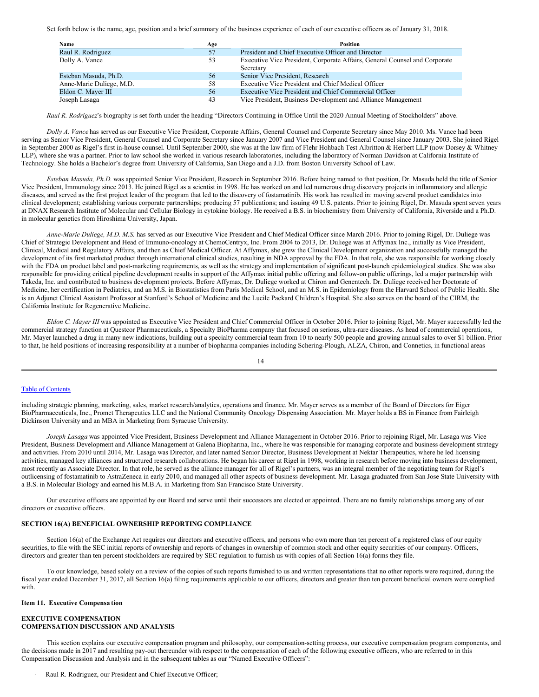Set forth below is the name, age, position and a brief summary of the business experience of each of our executive officers as of January 31, 2018.

| Name                     | Age | Position                                                                   |
|--------------------------|-----|----------------------------------------------------------------------------|
| Raul R. Rodriguez        | 57  | President and Chief Executive Officer and Director                         |
| Dolly A. Vance           | 53  | Executive Vice President, Corporate Affairs, General Counsel and Corporate |
|                          |     | Secretary                                                                  |
| Esteban Masuda, Ph.D.    | 56  | Senior Vice President, Research                                            |
| Anne-Marie Duliege, M.D. | 58  | Executive Vice President and Chief Medical Officer                         |
| Eldon C. Mayer III       | 56  | Executive Vice President and Chief Commercial Officer                      |
| Joseph Lasaga            | 43  | Vice President, Business Development and Alliance Management               |

*Raul R. Rodriguez*'s biography is set forth under the heading "Directors Continuing in Office Until the 2020 Annual Meeting of Stockholders" above.

*Dolly A. Vance* has served as our Executive Vice President, Corporate Affairs, General Counsel and Corporate Secretary since May 2010. Ms. Vance had been serving as Senior Vice President, General Counsel and Corporate Secretary since January 2007 and Vice President and General Counsel since January 2003. She joined Rigel in September 2000 as Rigel's first in-house counsel. Until September 2000, she was at the law firm of Flehr Hohbach Test Albritton & Herbert LLP (now Dorsey & Whitney LLP), where she was a partner. Prior to law school she worked in various research laboratories, including the laboratory of Norman Davidson at California Institute of Technology. She holds a Bachelor's degree from University of California, San Diego and a J.D. from Boston University School of Law.

*Esteban Masuda, Ph.D.* was appointed Senior Vice President, Research in September 2016. Before being named to that position, Dr. Masuda held the title of Senior Vice President, Immunology since 2013. He joined Rigel as a scientist in 1998. He has worked on and led numerous drug discovery projects in inflammatory and allergic diseases, and served as the first project leader of the program that led to the discovery of fostamatinib. His work has resulted in: moving several product candidates into clinical development; establishing various corporate partnerships; producing 57 publications; and issuing 49 U.S. patents. Prior to joining Rigel, Dr. Masuda spent seven years at DNAX Research Institute of Molecular and Cellular Biology in cytokine biology. He received a B.S. in biochemistry from University of California, Riverside and a Ph.D. in molecular genetics from Hiroshima University, Japan.

*Anne-Marie Duliege, M.D. M.S.* has served as our Executive Vice President and Chief Medical Officer since March 2016. Prior to joining Rigel, Dr. Duliege was Chief of Strategic Development and Head of Immuno-oncology at ChemoCentryx, Inc. From 2004 to 2013, Dr. Duliege was at Affymax Inc., initially as Vice President, Clinical, Medical and Regulatory Affairs, and then as Chief Medical Officer. At Affymax, she grew the Clinical Development organization and successfully managed the development of its first marketed product through international clinical studies, resulting in NDA approval by the FDA. In that role, she was responsible for working closely with the FDA on product label and post-marketing requirements, as well as the strategy and implementation of significant post-launch epidemiological studies. She was also responsible for providing critical pipeline development results in support of the Affymax initial public offering and follow-on public offerings, led a major partnership with Takeda, Inc. and contributed to business development projects. Before Affymax, Dr. Duliege worked at Chiron and Genentech. Dr. Duliege received her Doctorate of Medicine, her certification in Pediatrics, and an M.S. in Biostatistics from Paris Medical School, and an M.S. in Epidemiology from the Harvard School of Public Health. She is an Adjunct Clinical Assistant Professor at Stanford's School of Medicine and the Lucile Packard Children's Hospital. She also serves on the board of the CIRM, the California Institute for Regenerative Medicine.

*Eldon C. Mayer III* was appointed as Executive Vice President and Chief Commercial Officer in October 2016. Prior to joining Rigel, Mr. Mayer successfully led the commercial strategy function at Questcor Pharmaceuticals, a Specialty BioPharma company that focused on serious, ultra-rare diseases. As head of commercial operations, Mr. Mayer launched a drug in many new indications, building out a specialty commercial team from 10 to nearly 500 people and growing annual sales to over \$1 billion. Prior to that, he held positions of increasing responsibility at a number of biopharma companies including Schering-Plough, ALZA, Chiron, and Connetics, in functional areas

#### 14

#### Table of [Contents](#page-1-0)

including strategic planning, marketing, sales, market research/analytics, operations and finance. Mr. Mayer serves as a member of the Board of Directors for Eiger BioPharmaceuticals, Inc., Promet Therapeutics LLC and the National Community Oncology Dispensing Association. Mr. Mayer holds a BS in Finance from Fairleigh Dickinson University and an MBA in Marketing from Syracuse University.

*Joseph Lasaga* was appointed Vice President, Business Development and Alliance Management in October 2016. Prior to rejoining Rigel, Mr. Lasaga was Vice President, Business Development and Alliance Management at Galena Biopharma, Inc., where he was responsible for managing corporate and business development strategy and activities. From 2010 until 2014, Mr. Lasaga was Director, and later named Senior Director, Business Development at Nektar Therapeutics, where he led licensing activities, managed key alliances and structured research collaborations. He began his career at Rigel in 1998, working in research before moving into business development, most recently as Associate Director. In that role, he served as the alliance manager for all of Rigel's partners, was an integral member of the negotiating team for Rigel's outlicensing of fostamatinib to AstraZeneca in early 2010, and managed all other aspects of business development. Mr. Lasaga graduated from San Jose State University with a B.S. in Molecular Biology and earned his M.B.A. in Marketing from San Francisco State University.

Our executive officers are appointed by our Board and serve until their successors are elected or appointed. There are no family relationships among any of our directors or executive officers.

## **SECTION 16(A) BENEFICIAL OWNERSHIP REPORTING COMPLIANCE**

Section 16(a) of the Exchange Act requires our directors and executive officers, and persons who own more than ten percent of a registered class of our equity securities, to file with the SEC initial reports of ownership and reports of changes in ownership of common stock and other equity securities of our company. Officers, directors and greater than ten percent stockholders are required by SEC regulation to furnish us with copies of all Section 16(a) forms they file.

To our knowledge, based solely on a review of the copies of such reports furnished to us and written representations that no other reports were required, during the fiscal year ended December 31, 2017, all Section 16(a) filing requirements applicable to our officers, directors and greater than ten percent beneficial owners were complied with.

#### <span id="page-8-0"></span>**Item 11. Executive Compensa tion**

## **EXECUTIVE COMPENSATION COMPENSATION DISCUSSION AND ANALYSIS**

This section explains our executive compensation program and philosophy, our compensation-setting process, our executive compensation program components, and the decisions made in 2017 and resulting pay-out thereunder with respect to the compensation of each of the following executive officers, who are referred to in this Compensation Discussion and Analysis and in the subsequent tables as our "Named Executive Officers":

Raul R. Rodriguez, our President and Chief Executive Officer;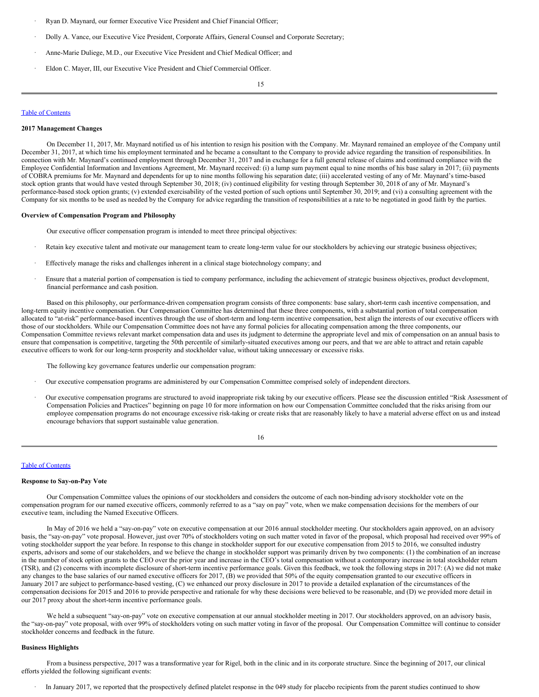- Ryan D. Maynard, our former Executive Vice President and Chief Financial Officer;
- · Dolly A. Vance, our Executive Vice President, Corporate Affairs, General Counsel and Corporate Secretary;
- Anne-Marie Duliege, M.D., our Executive Vice President and Chief Medical Officer; and
- Eldon C. Mayer, III, our Executive Vice President and Chief Commercial Officer.

#### Table of [Contents](#page-1-0)

#### **2017 Management Changes**

On December 11, 2017, Mr. Maynard notified us of his intention to resign his position with the Company. Mr. Maynard remained an employee of the Company until December 31, 2017, at which time his employment terminated and he became a consultant to the Company to provide advice regarding the transition of responsibilities. In connection with Mr. Maynard's continued employment through December 31, 2017 and in exchange for a full general release of claims and continued compliance with the Employee Confidential Information and Inventions Agreement, Mr. Maynard received: (i) a lump sum payment equal to nine months of his base salary in 2017; (ii) payments of COBRA premiums for Mr. Maynard and dependents for up to nine months following his separation date; (iii) accelerated vesting of any of Mr. Maynard's time-based stock option grants that would have vested through September 30, 2018; (iv) continued eligibility for vesting through September 30, 2018 of any of Mr. Maynard's performance-based stock option grants; (v) extended exercisability of the vested portion of such options until September 30, 2019; and (vi) a consulting agreement with the Company for six months to be used as needed by the Company for advice regarding the transition of responsibilities at a rate to be negotiated in good faith by the parties.

#### **Overview of Compensation Program and Philosophy**

Our executive officer compensation program is intended to meet three principal objectives:

- Retain key executive talent and motivate our management team to create long-term value for our stockholders by achieving our strategic business objectives;
- Effectively manage the risks and challenges inherent in a clinical stage biotechnology company; and
- Ensure that a material portion of compensation is tied to company performance, including the achievement of strategic business objectives, product development, financial performance and cash position.

Based on this philosophy, our performance-driven compensation program consists of three components: base salary, short-term cash incentive compensation, and long-term equity incentive compensation. Our Compensation Committee has determined that these three components, with a substantial portion of total compensation allocated to "at-risk" performance-based incentives through the use of short-term and long-term incentive compensation, best align the interests of our executive officers with those of our stockholders. While our Compensation Committee does not have any formal policies for allocating compensation among the three components, our Compensation Committee reviews relevant market compensation data and uses its judgment to determine the appropriate level and mix of compensation on an annual basis to ensure that compensation is competitive, targeting the 50th percentile of similarly-situated executives among our peers, and that we are able to attract and retain capable executive officers to work for our long-term prosperity and stockholder value, without taking unnecessary or excessive risks.

The following key governance features underlie our compensation program:

- · Our executive compensation programs are administered by our Compensation Committee comprised solely of independent directors.
- · Our executive compensation programs are structured to avoid inappropriate risk taking by our executive officers. Please see the discussion entitled "Risk Assessment of Compensation Policies and Practices" beginning on page 10 for more information on how our Compensation Committee concluded that the risks arising from our employee compensation programs do not encourage excessive risk-taking or create risks that are reasonably likely to have a material adverse effect on us and instead encourage behaviors that support sustainable value generation.

$$
16\quad
$$

#### Table of [Contents](#page-1-0)

#### **Response to Say-on-Pay Vote**

Our Compensation Committee values the opinions of our stockholders and considers the outcome of each non-binding advisory stockholder vote on the compensation program for our named executive officers, commonly referred to as a "say on pay" vote, when we make compensation decisions for the members of our executive team, including the Named Executive Officers.

In May of 2016 we held a "say-on-pay" vote on executive compensation at our 2016 annual stockholder meeting. Our stockholders again approved, on an advisory basis, the "say-on-pay" vote proposal. However, just over 70% of stockholders voting on such matter voted in favor of the proposal, which proposal had received over 99% of voting stockholder support the year before. In response to this change in stockholder support for our executive compensation from 2015 to 2016, we consulted industry experts, advisors and some of our stakeholders, and we believe the change in stockholder support was primarily driven by two components: (1) the combination of an increase in the number of stock option grants to the CEO over the prior year and increase in the CEO's total compensation without a contemporary increase in total stockholder return (TSR), and (2) concerns with incomplete disclosure of short-term incentive performance goals. Given this feedback, we took the following steps in 2017: (A) we did not make any changes to the base salaries of our named executive officers for 2017,  $(B)$  we provided that 50% of the equity compensation granted to our executive officers in January 2017 are subject to performance-based vesting, (C) we enhanced our proxy disclosure in 2017 to provide a detailed explanation of the circumstances of the compensation decisions for 2015 and 2016 to provide perspective and rationale for why these decisions were believed to be reasonable, and (D) we provided more detail in our 2017 proxy about the short-term incentive performance goals.

We held a subsequent "say-on-pay" vote on executive compensation at our annual stockholder meeting in 2017. Our stockholders approved, on an advisory basis, the "say-on-pay" vote proposal, with over 99% of stockholders voting on such matter voting in favor of the proposal. Our Compensation Committee will continue to consider stockholder concerns and feedback in the future.

## **Business Highlights**

From a business perspective, 2017 was a transformative year for Rigel, both in the clinic and in its corporate structure. Since the beginning of 2017, our clinical efforts yielded the following significant events:

In January 2017, we reported that the prospectively defined platelet response in the 049 study for placebo recipients from the parent studies continued to show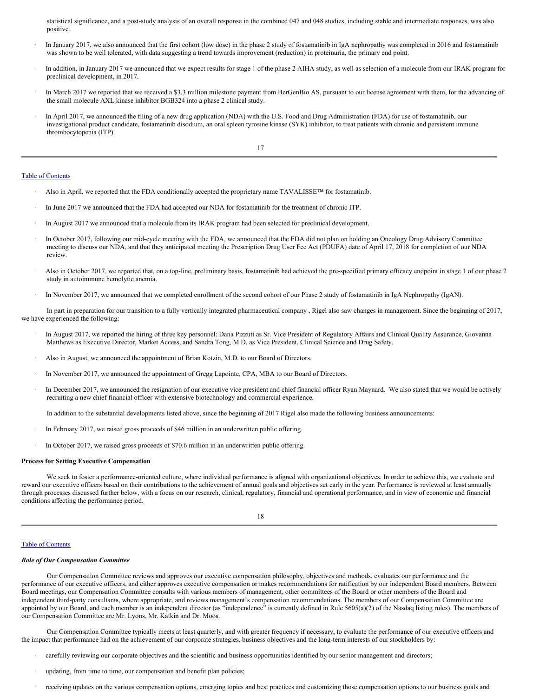statistical significance, and a post-study analysis of an overall response in the combined 047 and 048 studies, including stable and intermediate responses, was also positive.

- · In January 2017, we also announced that the first cohort (low dose) in the phase 2 study of fostamatinib in IgA nephropathy was completed in 2016 and fostamatinib was shown to be well tolerated, with data suggesting a trend towards improvement (reduction) in proteinuria, the primary end point.
- · In addition, in January 2017 we announced that we expect results for stage 1 of the phase 2 AIHA study, as well as selection of a molecule from our IRAK program for preclinical development, in 2017.
- In March 2017 we reported that we received a \$3.3 million milestone payment from BerGenBio AS, pursuant to our license agreement with them, for the advancing of the small molecule AXL kinase inhibitor BGB324 into a phase 2 clinical study.
- In April 2017, we announced the filing of a new drug application (NDA) with the U.S. Food and Drug Administration (FDA) for use of fostamatinib, our investigational product candidate, fostamatinib disodium, an oral spleen tyrosine kinase (SYK) inhibitor, to treat patients with chronic and persistent immune thrombocytopenia (ITP).

#### Table of [Contents](#page-1-0)

- · Also in April, we reported that the FDA conditionally accepted the proprietary name TAVALISSE™ for fostamatinib.
- In June 2017 we announced that the FDA had accepted our NDA for fostamatinib for the treatment of chronic ITP.
- In August 2017 we announced that a molecule from its IRAK program had been selected for preclinical development.
- In October 2017, following our mid-cycle meeting with the FDA, we announced that the FDA did not plan on holding an Oncology Drug Advisory Committee meeting to discuss our NDA, and that they anticipated meeting the Prescription Drug User Fee Act (PDUFA) date of April 17, 2018 for completion of our NDA review.
- · Also in October 2017, we reported that, on a top-line, preliminary basis, fostamatinib had achieved the pre-specified primary efficacy endpoint in stage 1 of our phase 2 study in autoimmune hemolytic anemia.
- · In November 2017, we announced that we completed enrollment of the second cohort of our Phase 2 study of fostamatinib in IgA Nephropathy (IgAN).

In part in preparation for our transition to a fully vertically integrated pharmaceutical company , Rigel also saw changes in management. Since the beginning of 2017, we have experienced the following:

- In August 2017, we reported the hiring of three key personnel: Dana Pizzuti as Sr. Vice President of Regulatory Affairs and Clinical Quality Assurance, Giovanna Matthews as Executive Director, Market Access, and Sandra Tong, M.D. as Vice President, Clinical Science and Drug Safety.
- Also in August, we announced the appointment of Brian Kotzin, M.D. to our Board of Directors.
- In November 2017, we announced the appointment of Gregg Lapointe, CPA, MBA to our Board of Directors.
- In December 2017, we announced the resignation of our executive vice president and chief financial officer Ryan Maynard. We also stated that we would be actively recruiting a new chief financial officer with extensive biotechnology and commercial experience.

In addition to the substantial developments listed above, since the beginning of 2017 Rigel also made the following business announcements:

- In February 2017, we raised gross proceeds of \$46 million in an underwritten public offering.
- In October 2017, we raised gross proceeds of \$70.6 million in an underwritten public offering.

#### **Process for Setting Executive Compensation**

We seek to foster a performance-oriented culture, where individual performance is aligned with organizational objectives. In order to achieve this, we evaluate and reward our executive officers based on their contributions to the achievement of annual goals and objectives set early in the year. Performance is reviewed at least annually through processes discussed further below, with a focus on our research, clinical, regulatory, financial and operational performance, and in view of economic and financial conditions affecting the performance period.

#### Table of [Contents](#page-1-0)

#### *Role of Our Compensation Committee*

Our Compensation Committee reviews and approves our executive compensation philosophy, objectives and methods, evaluates our performance and the performance of our executive officers, and either approves executive compensation or makes recommendations for ratification by our independent Board members. Between Board meetings, our Compensation Committee consults with various members of management, other committees of the Board or other members of the Board and independent third-party consultants, where appropriate, and reviews management's compensation recommendations. The members of our Compensation Committee are appointed by our Board, and each member is an independent director (as "independence" is currently defined in Rule 5605(a)(2) of the Nasdaq listing rules). The members of our Compensation Committee are Mr. Lyons, Mr. Katkin and Dr. Moos.

Our Compensation Committee typically meets at least quarterly, and with greater frequency if necessary, to evaluate the performance of our executive officers and the impact that performance had on the achievement of our corporate strategies, business objectives and the long-term interests of our stockholders by:

- · carefully reviewing our corporate objectives and the scientific and business opportunities identified by our senior management and directors;
- updating, from time to time, our compensation and benefit plan policies;
- receiving updates on the various compensation options, emerging topics and best practices and customizing those compensation options to our business goals and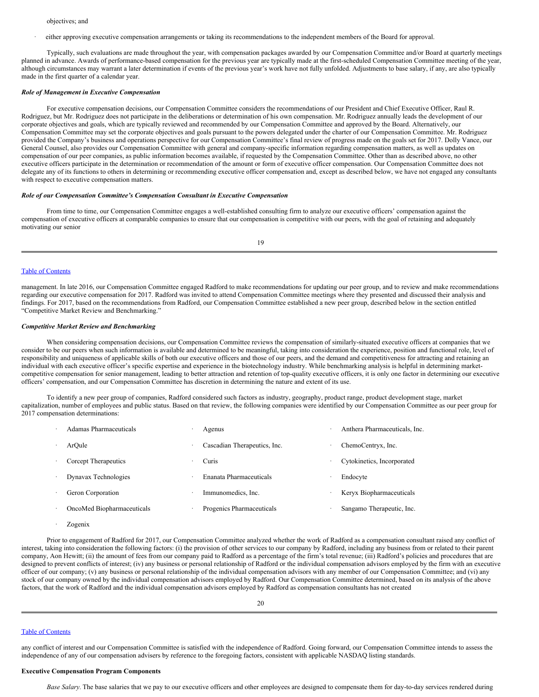#### objectives; and

either approving executive compensation arrangements or taking its recommendations to the independent members of the Board for approval.

Typically, such evaluations are made throughout the year, with compensation packages awarded by our Compensation Committee and/or Board at quarterly meetings planned in advance. Awards of performance-based compensation for the previous year are typically made at the first-scheduled Compensation Committee meeting of the year, although circumstances may warrant a later determination if events of the previous year's work have not fully unfolded. Adjustments to base salary, if any, are also typically made in the first quarter of a calendar year.

#### *Role of Management in Executive Compensation*

For executive compensation decisions, our Compensation Committee considers the recommendations of our President and Chief Executive Officer, Raul R. Rodriguez, but Mr. Rodriguez does not participate in the deliberations or determination of his own compensation. Mr. Rodriguez annually leads the development of our corporate objectives and goals, which are typically reviewed and recommended by our Compensation Committee and approved by the Board. Alternatively, our Compensation Committee may set the corporate objectives and goals pursuant to the powers delegated under the charter of our Compensation Committee. Mr. Rodriguez provided the Company's business and operations perspective for our Compensation Committee's final review of progress made on the goals set for 2017. Dolly Vance, our General Counsel, also provides our Compensation Committee with general and company-specific information regarding compensation matters, as well as updates on compensation of our peer companies, as public information becomes available, if requested by the Compensation Committee. Other than as described above, no other executive officers participate in the determination or recommendation of the amount or form of executive officer compensation. Our Compensation Committee does not delegate any of its functions to others in determining or recommending executive officer compensation and, except as described below, we have not engaged any consultants with respect to executive compensation matters.

#### *Role of our Compensation Committee's Compensation Consultant in Executive Compensation*

From time to time, our Compensation Committee engages a well-established consulting firm to analyze our executive officers' compensation against the compensation of executive officers at comparable companies to ensure that our compensation is competitive with our peers, with the goal of retaining and adequately motivating our senior

19

#### Table of [Contents](#page-1-0)

management. In late 2016, our Compensation Committee engaged Radford to make recommendations for updating our peer group, and to review and make recommendations regarding our executive compensation for 2017. Radford was invited to attend Compensation Committee meetings where they presented and discussed their analysis and findings. For 2017, based on the recommendations from Radford, our Compensation Committee established a new peer group, described below in the section entitled "Competitive Market Review and Benchmarking."

#### *Competitive Market Review and Benchmarking*

When considering compensation decisions, our Compensation Committee reviews the compensation of similarly-situated executive officers at companies that we consider to be our peers when such information is available and determined to be meaningful, taking into consideration the experience, position and functional role, level of responsibility and uniqueness of applicable skills of both our executive officers and those of our peers, and the demand and competitiveness for attracting and retaining an individual with each executive officer's specific expertise and experience in the biotechnology industry. While benchmarking analysis is helpful in determining marketcompetitive compensation for senior management, leading to better attraction and retention of top-quality executive officers, it is only one factor in determining our executive officers' compensation, and our Compensation Committee has discretion in determining the nature and extent of its use.

To identify a new peer group of companies, Radford considered such factors as industry, geography, product range, product development stage, market capitalization, number of employees and public status. Based on that review, the following companies were identified by our Compensation Committee as our peer group for 2017 compensation determinations:

| Adamas Pharmaceuticals       | Agenus                       | $\cdot$ | Anthera Pharmaceuticals, Inc. |
|------------------------------|------------------------------|---------|-------------------------------|
| ArQule                       | Cascadian Therapeutics, Inc. |         | ChemoCentryx, Inc.            |
| Corcept Therapeutics         | Curis                        |         | Cytokinetics, Incorporated    |
| Dynavax Technologies         | Enanata Pharmaceuticals      |         | Endocyte                      |
| Geron Corporation<br>$\cdot$ | Immunomedics, Inc.           |         | Keryx Biopharmaceuticals      |
| OncoMed Biopharmaceuticals   | Progenics Pharmaceuticals    |         | Sangamo Therapeutic, Inc.     |
|                              |                              |         |                               |

<sup>·</sup> Zogenix

Prior to engagement of Radford for 2017, our Compensation Committee analyzed whether the work of Radford as a compensation consultant raised any conflict of interest, taking into consideration the following factors: (i) the provision of other services to our company by Radford, including any business from or related to their parent company, Aon Hewitt; (ii) the amount of fees from our company paid to Radford as a percentage of the firm's total revenue; (iii) Radford's policies and procedures that are designed to prevent conflicts of interest; (iv) any business or personal relationship of Radford or the individual compensation advisors employed by the firm with an executive officer of our company; (v) any business or personal relationship of the individual compensation advisors with any member of our Compensation Committee; and (vi) any stock of our company owned by the individual compensation advisors employed by Radford. Our Compensation Committee determined, based on its analysis of the above factors, that the work of Radford and the individual compensation advisors employed by Radford as compensation consultants has not created

20

## Table of [Contents](#page-1-0)

any conflict of interest and our Compensation Committee is satisfied with the independence of Radford. Going forward, our Compensation Committee intends to assess the independence of any of our compensation advisers by reference to the foregoing factors, consistent with applicable NASDAQ listing standards.

## **Executive Compensation Program Components**

*Base Salary.* The base salaries that we pay to our executive officers and other employees are designed to compensate them for day-to-day services rendered during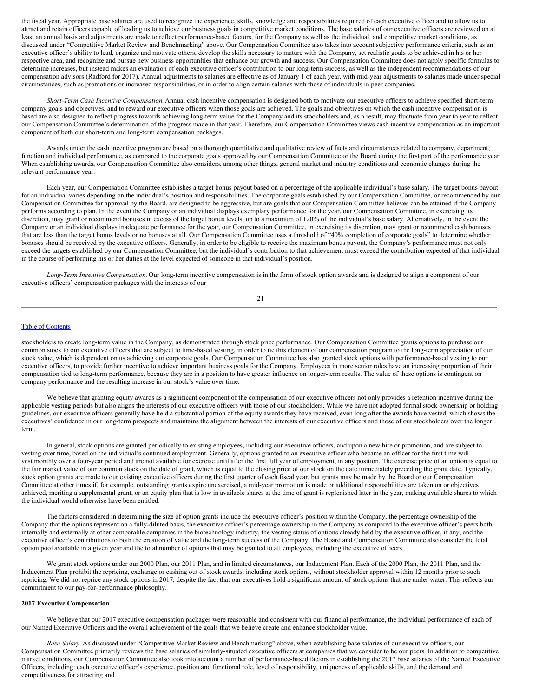the fiscal year. Appropriate base salaries are used to recognize the experience, skills, knowledge and responsibilities required of each executive officer and to allow us to attract and retain officers capable of leading us to achieve our business goals in competitive market conditions. The base salaries of our executive officers are reviewed on at least an annual basis and adjustments are made to reflect performance-based factors, for the Company as well as the individual, and competitive market conditions, as discussed under "Competitive Market Review and Benchmarking" above. Our Compensation Committee also takes into account subjective performance criteria, such as an executive officer's ability to lead, organize and motivate others, develop the skills necessary to mature with the Company, set realistic goals to be achieved in his or her respective area, and recognize and pursue new business opportunities that enhance our growth and success. Our Compensation Committee does not apply specific formulas to determine increases, but instead makes an evaluation of each executive officer's contribution to our long-term success, as well as the independent recommendations of our compensation advisors (Radford for 2017). Annual adjustments to salaries are effective as of January 1 of each year, with mid-year adjustments to salaries made under special circumstances, such as promotions or increased responsibilities, or in order to align certain salaries with those of individuals in peer companies.

*Short-Term Cash Incentive Compensation.*Annual cash incentive compensation is designed both to motivate our executive officers to achieve specified short-term company goals and objectives, and to reward our executive officers when those goals are achieved. The goals and objectives on which the cash incentive compensation is based are also designed to reflect progress towards achieving long-term value for the Company and its stockholders and, as a result, may fluctuate from year to year to reflect our Compensation Committee's determination of the progress made in that year. Therefore, our Compensation Committee views cash incentive compensation as an important component of both our short-term and long-term compensation packages.

Awards under the cash incentive program are based on a thorough quantitative and qualitative review of facts and circumstances related to company, department, function and individual performance, as compared to the corporate goals approved by our Compensation Committee or the Board during the first part of the performance year. When establishing awards, our Compensation Committee also considers, among other things, general market and industry conditions and economic changes during the relevant performance year.

Each year, our Compensation Committee establishes a target bonus payout based on a percentage of the applicable individual's base salary. The target bonus payout for an individual varies depending on the individual's position and responsibilities. The corporate goals established by our Compensation Committee, or recommended by our Compensation Committee for approval by the Board, are designed to be aggressive, but are goals that our Compensation Committee believes can be attained if the Company performs according to plan. In the event the Company or an individual displays exemplary performance for the year, our Compensation Committee, in exercising its discretion, may grant or recommend bonuses in excess of the target bonus levels, up to a maximum of 120% of the individual's base salary. Alternatively, in the event the Company or an individual displays inadequate performance for the year, our Compensation Committee, in exercising its discretion, may grant or recommend cash bonuses that are less than the target bonus levels or no bonuses at all. Our Compensation Committee uses a threshold of "40% completion of corporate goals" to determine whether bonuses should be received by the executive officers. Generally, in order to be eligible to receive the maximum bonus payout, the Company's performance must not only exceed the targets established by our Compensation Committee, but the individual's contribution to that achievement must exceed the contribution expected of that individual in the course of performing his or her duties at the level expected of someone in that individual's position.

*Long-Term Incentive Compensation.* Our long-term incentive compensation is in the form of stock option awards and is designed to align a component of our executive officers' compensation packages with the interests of our

21

## Table of [Contents](#page-1-0)

stockholders to create long-term value in the Company, as demonstrated through stock price performance. Our Compensation Committee grants options to purchase our common stock to our executive officers that are subject to time-based vesting, in order to tie this element of our compensation program to the long-term appreciation of our stock value, which is dependent on us achieving our corporate goals. Our Compensation Committee has also granted stock options with performance-based vesting to our executive officers, to provide further incentive to achieve important business goals for the Company. Employees in more senior roles have an increasing proportion of their compensation tied to long-term performance, because they are in a position to have greater influence on longer-term results. The value of these options is contingent on company performance and the resulting increase in our stock's value over time.

We believe that granting equity awards as a significant component of the compensation of our executive officers not only provides a retention incentive during the applicable vesting periods but also aligns the interests of our executive officers with those of our stockholders. While we have not adopted formal stock ownership or holding guidelines, our executive officers generally have held a substantial portion of the equity awards they have received, even long after the awards have vested, which shows the executives' confidence in our long-term prospects and maintains the alignment between the interests of our executive officers and those of our stockholders over the longer term.

In general, stock options are granted periodically to existing employees, including our executive officers, and upon a new hire or promotion, and are subject to vesting over time, based on the individual's continued employment. Generally, options granted to an executive officer who became an officer for the first time will vest monthly over a four-year period and are not available for exercise until after the first full year of employment, in any position. The exercise price of an option is equal to the fair market value of our common stock on the date of grant, which is equal to the closing price of our stock on the date immediately preceding the grant date. Typically, stock option grants are made to our existing executive officers during the first quarter of each fiscal year, but grants may be made by the Board or our Compensation Committee at other times if, for example, outstanding grants expire unexercised, a mid-year promotion is made or additional responsibilities are taken on or objectives achieved, meriting a supplemental grant, or an equity plan that is low in available shares at the time of grant is replenished later in the year, making available shares to which the individual would otherwise have been entitled.

The factors considered in determining the size of option grants include the executive officer's position within the Company, the percentage ownership of the Company that the options represent on a fully-diluted basis, the executive officer's percentage ownership in the Company as compared to the executive officer's peers both internally and externally at other comparable companies in the biotechnology industry, the vesting status of options already held by the executive officer, if any, and the executive officer's contributions to both the creation of value and the long-term success of the Company. The Board and Compensation Committee also consider the total option pool available in a given year and the total number of options that may be granted to all employees, including the executive officers.

We grant stock options under our 2000 Plan, our 2011 Plan, and in limited circumstances, our Inducement Plan. Each of the 2000 Plan, the 2011 Plan, and the Inducement Plan prohibit the repricing, exchange or cashing out of stock awards, including stock options, without stockholder approval within 12 months prior to such repricing. We did not reprice any stock options in 2017, despite the fact that our executives hold a significant amount of stock options that are under water. This reflects our commitment to our pay-for-performance philosophy.

## **2017 Executive Compensation**

We believe that our 2017 executive compensation packages were reasonable and consistent with our financial performance, the individual performance of each of our Named Executive Officers and the overall achievement of the goals that we believe create and enhance stockholder value.

*Base Salary.* As discussed under "Competitive Market Review and Benchmarking" above, when establishing base salaries of our executive officers, our Compensation Committee primarily reviews the base salaries of similarly-situated executive officers at companies that we consider to be our peers. In addition to competitive market conditions, our Compensation Committee also took into account a number of performance-based factors in establishing the 2017 base salaries of the Named Executive Officers, including: each executive officer's experience, position and functional role, level of responsibility, uniqueness of applicable skills, and the demand and competitiveness for attracting and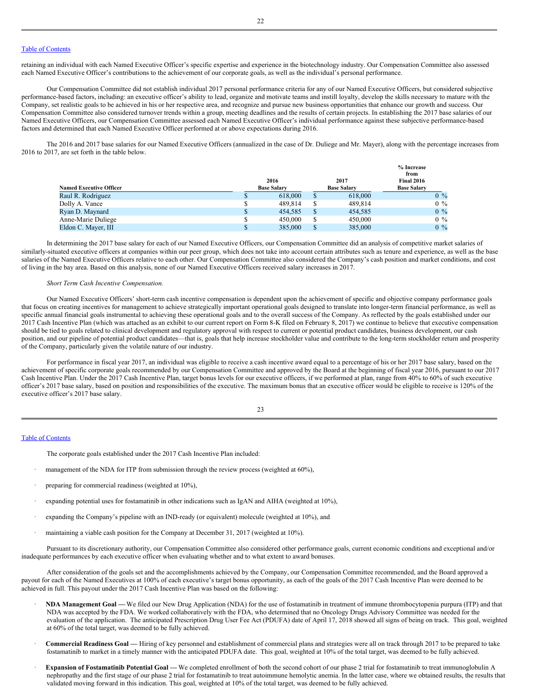retaining an individual with each Named Executive Officer's specific expertise and experience in the biotechnology industry. Our Compensation Committee also assessed each Named Executive Officer's contributions to the achievement of our corporate goals, as well as the individual's personal performance.

Our Compensation Committee did not establish individual 2017 personal performance criteria for any of our Named Executive Officers, but considered subjective performance-based factors, including: an executive officer's ability to lead, organize and motivate teams and instill loyalty, develop the skills necessary to mature with the Company, set realistic goals to be achieved in his or her respective area, and recognize and pursue new business opportunities that enhance our growth and success. Our Compensation Committee also considered turnover trends within a group, meeting deadlines and the results of certain projects. In establishing the 2017 base salaries of our Named Executive Officers, our Compensation Committee assessed each Named Executive Officer's individual performance against these subjective performance-based factors and determined that each Named Executive Officer performed at or above expectations during 2016.

The 2016 and 2017 base salaries for our Named Executive Officers (annualized in the case of Dr. Duliege and Mr. Mayer), along with the percentage increases from 2016 to 2017, are set forth in the table below.

| <b>Named Executive Officer</b> | 2016<br><b>Base Salary</b> | 2017<br><b>Base Salary</b> | % Increase<br>from<br><b>Final 2016</b><br><b>Base Salary</b> |
|--------------------------------|----------------------------|----------------------------|---------------------------------------------------------------|
| Raul R. Rodriguez              | 618,000                    | 618,000                    | $0\%$                                                         |
| Dolly A. Vance                 | 489.814                    | 489.814                    | $0\%$                                                         |
| Ryan D. Maynard                | 454.585                    | 454.585                    | $0\%$                                                         |
| Anne-Marie Duliege             | 450,000                    | 450,000                    | $0\%$                                                         |
| Eldon C. Mayer, III            | 385,000                    | 385,000                    | $0\%$                                                         |

In determining the 2017 base salary for each of our Named Executive Officers, our Compensation Committee did an analysis of competitive market salaries of similarly-situated executive officers at companies within our peer group, which does not take into account certain attributes such as tenure and experience, as well as the base salaries of the Named Executive Officers relative to each other. Our Compensation Committee also considered the Company's cash position and market conditions, and cost of living in the bay area. Based on this analysis, none of our Named Executive Officers received salary increases in 2017.

#### *Short Term Cash Incentive Compensation.*

Our Named Executive Officers' short-term cash incentive compensation is dependent upon the achievement of specific and objective company performance goals that focus on creating incentives for management to achieve strategically important operational goals designed to translate into longer-term financial performance, as well as specific annual financial goals instrumental to achieving these operational goals and to the overall success of the Company. As reflected by the goals established under our 2017 Cash Incentive Plan (which was attached as an exhibit to our current report on Form 8-K filed on February 8, 2017) we continue to believe that executive compensation should be tied to goals related to clinical development and regulatory approval with respect to current or potential product candidates, business development, our cash position, and our pipeline of potential product candidates—that is, goals that help increase stockholder value and contribute to the long-term stockholder return and prosperity of the Company, particularly given the volatile nature of our industry.

For performance in fiscal year 2017, an individual was eligible to receive a cash incentive award equal to a percentage of his or her 2017 base salary, based on the achievement of specific corporate goals recommended by our Compensation Committee and approved by the Board at the beginning of fiscal year 2016, pursuant to our 2017 Cash Incentive Plan. Under the 2017 Cash Incentive Plan, target bonus levels for our executive officers, if we performed at plan, range from 40% to 60% of such executive officer's 2017 base salary, based on position and responsibilities of the executive. The maximum bonus that an executive officer would be eligible to receive is 120% of the executive officer's 2017 base salary.

23

#### Table of [Contents](#page-1-0)

The corporate goals established under the 2017 Cash Incentive Plan included:

- management of the NDA for ITP from submission through the review process (weighted at 60%),
- preparing for commercial readiness (weighted at 10%),
- expanding potential uses for fostamatinib in other indications such as IgAN and AIHA (weighted at  $10\%$ ),
- expanding the Company's pipeline with an IND-ready (or equivalent) molecule (weighted at 10%), and
- maintaining a viable cash position for the Company at December 31, 2017 (weighted at 10%).

Pursuant to its discretionary authority, our Compensation Committee also considered other performance goals, current economic conditions and exceptional and/or inadequate performances by each executive officer when evaluating whether and to what extent to award bonuses.

After consideration of the goals set and the accomplishments achieved by the Company, our Compensation Committee recommended, and the Board approved a payout for each of the Named Executives at 100% of each executive's target bonus opportunity, as each of the goals of the 2017 Cash Incentive Plan were deemed to be achieved in full. This payout under the 2017 Cash Incentive Plan was based on the following:

- · **NDA Management Goal —** We filed our New Drug Application (NDA) for the use of fostamatinib in treatment of immune thrombocytopenia purpura (ITP) and that NDA was accepted by the FDA. We worked collaboratively with the FDA, who determined that no Oncology Drugs Advisory Committee was needed for the evaluation of the application. The anticipated Prescription Drug User Fee Act (PDUFA) date of April 17, 2018 showed all signs of being on track. This goal, weighted at 60% of the total target, was deemed to be fully achieved.
- · **Commercial Readiness Goal —** Hiring of key personnel and establishment of commercial plans and strategies were all on track through 2017 to be prepared to take fostamatinib to market in a timely manner with the anticipated PDUFA date. This goal, weighted at 10% of the total target, was deemed to be fully achieved.
- · **Expansion of Fostamatinib Potential Goal —** We completed enrollment of both the second cohort of our phase 2 trial for fostamatinib to treat immunoglobulin A nephropathy and the first stage of our phase 2 trial for fostamatinib to treat autoimmune hemolytic anemia. In the latter case, where we obtained results, the results that validated moving forward in this indication. This goal, weighted at 10% of the total target, was deemed to be fully achieved.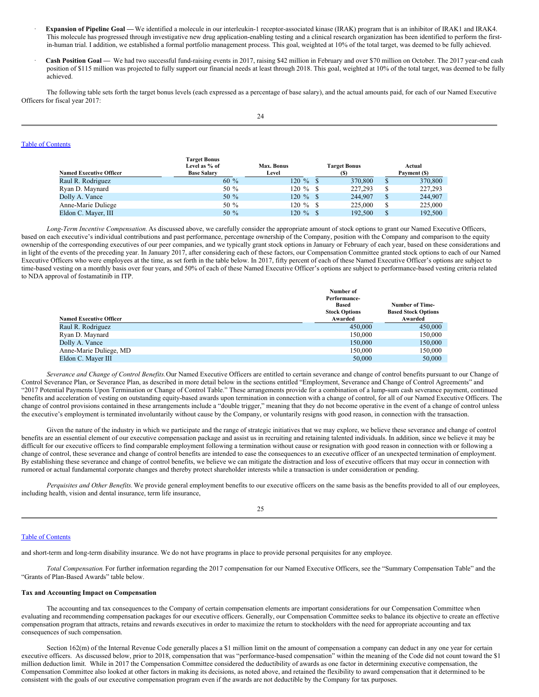- · **Expansion of Pipeline Goal —** We identified a molecule in our interleukin-1 receptor-associated kinase (IRAK) program that is an inhibitor of IRAK1 and IRAK4. This molecule has progressed through investigative new drug application-enabling testing and a clinical research organization has been identified to perform the firstin-human trial. I addition, we established a formal portfolio management process. This goal, weighted at 10% of the total target, was deemed to be fully achieved.
- Cash Position Goal We had two successful fund-raising events in 2017, raising \$42 million in February and over \$70 million on October. The 2017 year-end cash position of \$115 million was projected to fully support our financial needs at least through 2018. This goal, weighted at 10% of the total target, was deemed to be fully achieved.

The following table sets forth the target bonus levels (each expressed as a percentage of base salary), and the actual amounts paid, for each of our Named Executive Officers for fiscal year 2017:

## Table of [Contents](#page-1-0)

| <b>Named Executive Officer</b> | <b>Target Bonus</b><br>Level as % of<br><b>Base Salary</b> | <b>Max. Bonus</b><br>Level | <b>Target Bonus</b><br>(S) |   | Actual<br>Payment (\$) |
|--------------------------------|------------------------------------------------------------|----------------------------|----------------------------|---|------------------------|
| Raul R. Rodriguez              | $60\%$                                                     | $120 \%$ \$                | 370,800                    |   | 370,800                |
| Ryan D. Maynard                | 50 %                                                       | $120 \%$ \$                | 227,293                    |   | 227,293                |
| Dolly A. Vance                 | 50 $\%$                                                    | $120 \%$ \$                | 244,907                    | S | 244,907                |
| Anne-Marie Duliege             | 50 %                                                       | $120 \%$ \$                | 225,000                    |   | 225,000                |
| Eldon C. Mayer, III            | 50 $%$                                                     | $120 \%$ \$                | 192,500                    |   | 192,500                |

*Long-Term Incentive Compensation.* As discussed above, we carefully consider the appropriate amount of stock options to grant our Named Executive Officers, based on each executive's individual contributions and past performance, percentage ownership of the Company, position with the Company and comparison to the equity ownership of the corresponding executives of our peer companies, and we typically grant stock options in January or February of each year, based on these considerations and in light of the events of the preceding year. In January 2017, after considering each of these factors, our Compensation Committee granted stock options to each of our Named Executive Officers who were employees at the time, as set forth in the table below. In 2017, fifty percent of each of these Named Executive Officer's options are subject to time-based vesting on a monthly basis over four years, and 50% of each of these Named Executive Officer's options are subject to performance-based vesting criteria related to NDA approval of fostamatinib in ITP.

|                                | Number of            |                            |
|--------------------------------|----------------------|----------------------------|
|                                | Performance-         |                            |
|                                | Based                | <b>Number of Time-</b>     |
|                                | <b>Stock Options</b> | <b>Based Stock Options</b> |
| <b>Named Executive Officer</b> | Awarded              | Awarded                    |
| Raul R. Rodriguez              | 450,000              | 450,000                    |
| Ryan D. Maynard                | 150,000              | 150,000                    |
| Dolly A. Vance                 | 150,000              | 150,000                    |
| Anne-Marie Duliege, MD         | 150,000              | 150,000                    |
| Eldon C. Mayer III             | 50,000               | 50,000                     |

*Severance and Change of Control Benefits.*Our Named Executive Officers are entitled to certain severance and change of control benefits pursuant to our Change of Control Severance Plan, or Severance Plan, as described in more detail below in the sections entitled "Employment, Severance and Change of Control Agreements" and "2017 Potential Payments Upon Termination or Change of Control Table." These arrangements provide for a combination of a lump-sum cash severance payment, continued benefits and acceleration of vesting on outstanding equity-based awards upon termination in connection with a change of control, for all of our Named Executive Officers. The change of control provisions contained in these arrangements include a "double trigger," meaning that they do not become operative in the event of a change of control unless the executive's employment is terminated involuntarily without cause by the Company, or voluntarily resigns with good reason, in connection with the transaction.

Given the nature of the industry in which we participate and the range of strategic initiatives that we may explore, we believe these severance and change of control benefits are an essential element of our executive compensation package and assist us in recruiting and retaining talented individuals. In addition, since we believe it may be difficult for our executive officers to find comparable employment following a termination without cause or resignation with good reason in connection with or following a change of control, these severance and change of control benefits are intended to ease the consequences to an executive officer of an unexpected termination of employment. By establishing these severance and change of control benefits, we believe we can mitigate the distraction and loss of executive officers that may occur in connection with rumored or actual fundamental corporate changes and thereby protect shareholder interests while a transaction is under consideration or pending.

*Perquisites and Other Benefits.*We provide general employment benefits to our executive officers on the same basis as the benefits provided to all of our employees, including health, vision and dental insurance, term life insurance,

# 25

#### Table of [Contents](#page-1-0)

and short-term and long-term disability insurance. We do not have programs in place to provide personal perquisites for any employee.

*Total Compensation.* For further information regarding the 2017 compensation for our Named Executive Officers, see the "Summary Compensation Table" and the "Grants of Plan-Based Awards" table below.

## **Tax and Accounting Impact on Compensation**

The accounting and tax consequences to the Company of certain compensation elements are important considerations for our Compensation Committee when evaluating and recommending compensation packages for our executive officers. Generally, our Compensation Committee seeks to balance its objective to create an effective compensation program that attracts, retains and rewards executives in order to maximize the return to stockholders with the need for appropriate accounting and tax consequences of such compensation.

Section 162(m) of the Internal Revenue Code generally places a \$1 million limit on the amount of compensation a company can deduct in any one year for certain executive officers. As discussed below, prior to 2018, compensation that was "performance-based compensation" within the meaning of the Code did not count toward the \$1 million deduction limit. While in 2017 the Compensation Committee considered the deductibility of awards as one factor in determining executive compensation, the Compensation Committee also looked at other factors in making its decisions, as noted above, and retained the flexibility to award compensation that it determined to be consistent with the goals of our executive compensation program even if the awards are not deductible by the Company for tax purposes.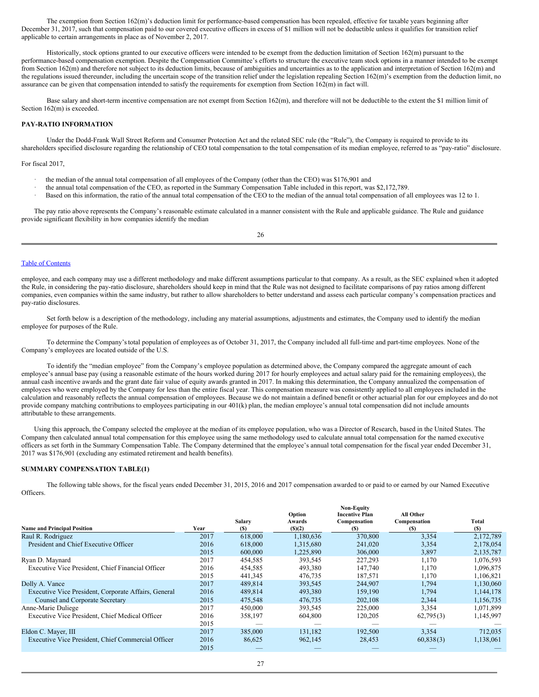The exemption from Section 162(m)'s deduction limit for performance-based compensation has been repealed, effective for taxable years beginning after December 31, 2017, such that compensation paid to our covered executive officers in excess of \$1 million will not be deductible unless it qualifies for transition relief applicable to certain arrangements in place as of November 2, 2017.

Historically, stock options granted to our executive officers were intended to be exempt from the deduction limitation of Section 162(m) pursuant to the performance-based compensation exemption. Despite the Compensation Committee's efforts to structure the executive team stock options in a manner intended to be exempt from Section 162(m) and therefore not subject to its deduction limits, because of ambiguities and uncertainties as to the application and interpretation of Section 162(m) and the regulations issued thereunder, including the uncertain scope of the transition relief under the legislation repealing Section 162(m)'s exemption from the deduction limit, no assurance can be given that compensation intended to satisfy the requirements for exemption from Section 162(m) in fact will.

Base salary and short-term incentive compensation are not exempt from Section 162(m), and therefore will not be deductible to the extent the \$1 million limit of Section 162(m) is exceeded.

## **PAY-RATIO INFORMATION**

Under the Dodd-Frank Wall Street Reform and Consumer Protection Act and the related SEC rule (the "Rule"), the Company is required to provide to its shareholders specified disclosure regarding the relationship of CEO total compensation to the total compensation of its median employee, referred to as "pay-ratio" disclosure.

#### For fiscal 2017,

- the median of the annual total compensation of all employees of the Company (other than the CEO) was \$176,901 and
- · the annual total compensation of the CEO, as reported in the Summary Compensation Table included in this report, was \$2,172,789.
- Based on this information, the ratio of the annual total compensation of the CEO to the median of the annual total compensation of all employees was 12 to 1.

The pay ratio above represents the Company's reasonable estimate calculated in a manner consistent with the Rule and applicable guidance. The Rule and guidance provide significant flexibility in how companies identify the median

26

# Table of [Contents](#page-1-0)

employee, and each company may use a different methodology and make different assumptions particular to that company. As a result, as the SEC explained when it adopted the Rule, in considering the pay-ratio disclosure, shareholders should keep in mind that the Rule was not designed to facilitate comparisons of pay ratios among different companies, even companies within the same industry, but rather to allow shareholders to better understand and assess each particular company's compensation practices and pay-ratio disclosures.

Set forth below is a description of the methodology, including any material assumptions, adjustments and estimates, the Company used to identify the median employee for purposes of the Rule.

To determine the Company'stotal population of employees as of October 31, 2017, the Company included all full-time and part-time employees. None of the Company's employees are located outside of the U.S.

To identify the "median employee" from the Company's employee population as determined above, the Company compared the aggregate amount of each employee's annual base pay (using a reasonable estimate of the hours worked during 2017 for hourly employees and actual salary paid for the remaining employees), the annual cash incentive awards and the grant date fair value of equity awards granted in 2017. In making this determination, the Company annualized the compensation of employees who were employed by the Company for less than the entire fiscal year. This compensation measure was consistently applied to all employees included in the calculation and reasonably reflects the annual compensation of employees. Because we do not maintain a defined benefit or other actuarial plan for our employees and do not provide company matching contributions to employees participating in our 401(k) plan, the median employee's annual total compensation did not include amounts attributable to these arrangements.

Using this approach, the Company selected the employee at the median of its employee population, who was a Director of Research, based in the United States. The Company then calculated annual total compensation for this employee using the same methodology used to calculate annual total compensation for the named executive officers as set forth in the Summary Compensation Table. The Company determined that the employee's annual total compensation for the fiscal year ended December 31, 2017 was \$176,901 (excluding any estimated retirement and health benefits).

## **SUMMARY COMPENSATION TABLE(1)**

The following table shows, for the fiscal years ended December 31, 2015, 2016 and 2017 compensation awarded to or paid to or earned by our Named Executive **Officers** 

|                                                      |      |            |           | <b>Non-Equity</b>     |              |           |
|------------------------------------------------------|------|------------|-----------|-----------------------|--------------|-----------|
|                                                      |      |            | Option    | <b>Incentive Plan</b> | All Other    |           |
|                                                      |      | Salary     | Awards    | Compensation          | Compensation | Total     |
| <b>Name and Principal Position</b>                   | Year | <b>(S)</b> | (5)(2)    | (S)                   | (S)          | (S)       |
| Raul R. Rodriguez                                    | 2017 | 618,000    | 1,180,636 | 370,800               | 3,354        | 2,172,789 |
| President and Chief Executive Officer                | 2016 | 618,000    | 1,315,680 | 241,020               | 3,354        | 2,178,054 |
|                                                      | 2015 | 600,000    | 1,225,890 | 306,000               | 3,897        | 2,135,787 |
| Ryan D. Maynard                                      | 2017 | 454,585    | 393,545   | 227.293               | 1,170        | 1,076,593 |
| Executive Vice President, Chief Financial Officer    | 2016 | 454,585    | 493,380   | 147,740               | 1,170        | 1,096,875 |
|                                                      | 2015 | 441,345    | 476.735   | 187.571               | 1,170        | 1,106,821 |
| Dolly A. Vance                                       | 2017 | 489,814    | 393,545   | 244,907               | 1.794        | 1,130,060 |
| Executive Vice President, Corporate Affairs, General | 2016 | 489,814    | 493,380   | 159,190               | 1.794        | 1,144,178 |
| Counsel and Corporate Secretary                      | 2015 | 475,548    | 476.735   | 202,108               | 2,344        | 1,156,735 |
| Anne-Marie Duliege                                   | 2017 | 450,000    | 393,545   | 225,000               | 3.354        | 1,071,899 |
| Executive Vice President, Chief Medical Officer      | 2016 | 358,197    | 604,800   | 120,205               | 62,795(3)    | 1,145,997 |
|                                                      | 2015 |            |           |                       |              |           |
| Eldon C. Mayer, III                                  | 2017 | 385,000    | 131.182   | 192,500               | 3.354        | 712,035   |
| Executive Vice President, Chief Commercial Officer   | 2016 | 86,625     | 962,145   | 28,453                | 60,838(3)    | 1,138,061 |
|                                                      | 2015 |            |           |                       |              |           |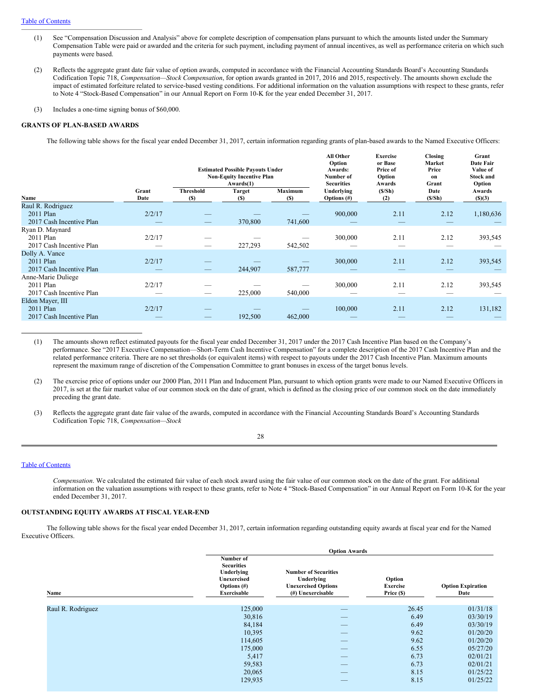- (1) See "Compensation Discussion and Analysis" above for complete description of compensation plans pursuant to which the amounts listed under the Summary Compensation Table were paid or awarded and the criteria for such payment, including payment of annual incentives, as well as performance criteria on which such payments were based.
- (2) Reflects the aggregate grant date fair value of option awards, computed in accordance with the Financial Accounting Standards Board's Accounting Standards Codification Topic 718, *Compensation—Stock Compensation*, for option awards granted in 2017, 2016 and 2015, respectively. The amounts shown exclude the impact of estimated forfeiture related to service-based vesting conditions. For additional information on the valuation assumptions with respect to these grants, refer to Note 4 "Stock-Based Compensation" in our Annual Report on Form 10-K for the year ended December 31, 2017.
- (3) Includes a one-time signing bonus of \$60,000.

#### **GRANTS OF PLAN-BASED AWARDS**

The following table shows for the fiscal year ended December 31, 2017, certain information regarding grants of plan-based awards to the Named Executive Officers:

|                          |               |                  | <b>Estimated Possible Payouts Under</b><br><b>Non-Equity Incentive Plan</b><br>Awards(1) |                       | All Other<br>Option<br>Awards:<br>Number of<br><b>Securities</b> | <b>Exercise</b><br>or Base<br>Price of<br>Option<br>Awards | Closing<br>Market<br>Price<br>on<br>Grant | Grant<br>Date Fair<br>Value of<br><b>Stock and</b><br>Option |
|--------------------------|---------------|------------------|------------------------------------------------------------------------------------------|-----------------------|------------------------------------------------------------------|------------------------------------------------------------|-------------------------------------------|--------------------------------------------------------------|
| Name                     | Grant<br>Date | Threshold<br>(S) | Target<br><b>(S)</b>                                                                     | <b>Maximum</b><br>(S) | Underlying<br>Options $(\#)$                                     | (S/Sh)<br>(2)                                              | Date<br>(S/Sh)                            | Awards<br>() (3)                                             |
| Raul R. Rodriguez        |               |                  |                                                                                          |                       |                                                                  |                                                            |                                           |                                                              |
| 2011 Plan                | 2/2/17        |                  |                                                                                          |                       | 900,000                                                          | 2.11                                                       | 2.12                                      | 1,180,636                                                    |
| 2017 Cash Incentive Plan |               |                  | 370,800                                                                                  | 741,600               |                                                                  |                                                            |                                           |                                                              |
| Ryan D. Maynard          |               |                  |                                                                                          |                       |                                                                  |                                                            |                                           |                                                              |
| 2011 Plan                | 2/2/17        |                  |                                                                                          |                       | 300,000                                                          | 2.11                                                       | 2.12                                      | 393,545                                                      |
| 2017 Cash Incentive Plan |               |                  | 227,293                                                                                  | 542,502               |                                                                  |                                                            |                                           |                                                              |
| Dolly A. Vance           |               |                  |                                                                                          |                       |                                                                  |                                                            |                                           |                                                              |
| 2011 Plan                | 2/2/17        |                  |                                                                                          |                       | 300,000                                                          | 2.11                                                       | 2.12                                      | 393,545                                                      |
| 2017 Cash Incentive Plan |               |                  | 244,907                                                                                  | 587,777               |                                                                  |                                                            |                                           |                                                              |
| Anne-Marie Duliege       |               |                  |                                                                                          |                       |                                                                  |                                                            |                                           |                                                              |
| 2011 Plan                | 2/2/17        |                  |                                                                                          |                       | 300,000                                                          | 2.11                                                       | 2.12                                      | 393,545                                                      |
| 2017 Cash Incentive Plan |               |                  | 225,000                                                                                  | 540,000               |                                                                  |                                                            |                                           |                                                              |
| Eldon Mayer, III         |               |                  |                                                                                          |                       |                                                                  |                                                            |                                           |                                                              |
| 2011 Plan                | 2/2/17        |                  |                                                                                          |                       | 100,000                                                          | 2.11                                                       | 2.12                                      | 131,182                                                      |
| 2017 Cash Incentive Plan |               |                  | 192,500                                                                                  | 462,000               |                                                                  |                                                            |                                           |                                                              |
|                          |               |                  |                                                                                          |                       |                                                                  |                                                            |                                           |                                                              |

(1) The amounts shown reflect estimated payouts for the fiscal year ended December 31, 2017 under the 2017 Cash Incentive Plan based on the Company's performance. See "2017 Executive Compensation—Short-Term Cash Incentive Compensation" for a complete description of the 2017 Cash Incentive Plan and the related performance criteria. There are no set thresholds (or equivalent items) with respect to payouts under the 2017 Cash Incentive Plan. Maximum amounts represent the maximum range of discretion of the Compensation Committee to grant bonuses in excess of the target bonus levels.

- (2) The exercise price of options under our 2000 Plan, 2011 Plan and Inducement Plan, pursuant to which option grants were made to our Named Executive Officers in 2017, is set at the fair market value of our common stock on the date of grant, which is defined as the closing price of our common stock on the date immediately preceding the grant date.
- (3) Reflects the aggregate grant date fair value of the awards, computed in accordance with the Financial Accounting Standards Board's Accounting Standards Codification Topic 718, *Compensation—Stock*

#### Table of [Contents](#page-1-0)

*Compensation*. We calculated the estimated fair value of each stock award using the fair value of our common stock on the date of the grant. For additional information on the valuation assumptions with respect to these grants, refer to Note 4 "Stock-Based Compensation" in our Annual Report on Form 10-K for the year ended December 31, 2017.

## **OUTSTANDING EQUITY AWARDS AT FISCAL YEAR-END**

The following table shows for the fiscal year ended December 31, 2017, certain information regarding outstanding equity awards at fiscal year end for the Named Executive Officers.

|                   | <b>Option Awards</b>                                                                                |                                                                                              |                                         |                                  |  |  |  |  |
|-------------------|-----------------------------------------------------------------------------------------------------|----------------------------------------------------------------------------------------------|-----------------------------------------|----------------------------------|--|--|--|--|
| Name              | Number of<br><b>Securities</b><br>Underlying<br><b>Unexercised</b><br>Options $(\#)$<br>Exercisable | <b>Number of Securities</b><br>Underlying<br><b>Unexercised Options</b><br>(#) Unexercisable | Option<br><b>Exercise</b><br>Price (\$) | <b>Option Expiration</b><br>Date |  |  |  |  |
| Raul R. Rodriguez | 125,000                                                                                             | _                                                                                            | 26.45                                   | 01/31/18                         |  |  |  |  |
|                   | 30,816                                                                                              |                                                                                              | 6.49                                    | 03/30/19                         |  |  |  |  |
|                   | 84,184                                                                                              |                                                                                              | 6.49                                    | 03/30/19                         |  |  |  |  |
|                   | 10,395                                                                                              |                                                                                              | 9.62                                    | 01/20/20                         |  |  |  |  |
|                   | 114,605                                                                                             |                                                                                              | 9.62                                    | 01/20/20                         |  |  |  |  |
|                   | 175,000                                                                                             |                                                                                              | 6.55                                    | 05/27/20                         |  |  |  |  |
|                   | 5,417                                                                                               |                                                                                              | 6.73                                    | 02/01/21                         |  |  |  |  |
|                   | 59,583                                                                                              | _                                                                                            | 6.73                                    | 02/01/21                         |  |  |  |  |
|                   | 20,065                                                                                              |                                                                                              | 8.15                                    | 01/25/22                         |  |  |  |  |
|                   | 129,935                                                                                             |                                                                                              | 8.15                                    | 01/25/22                         |  |  |  |  |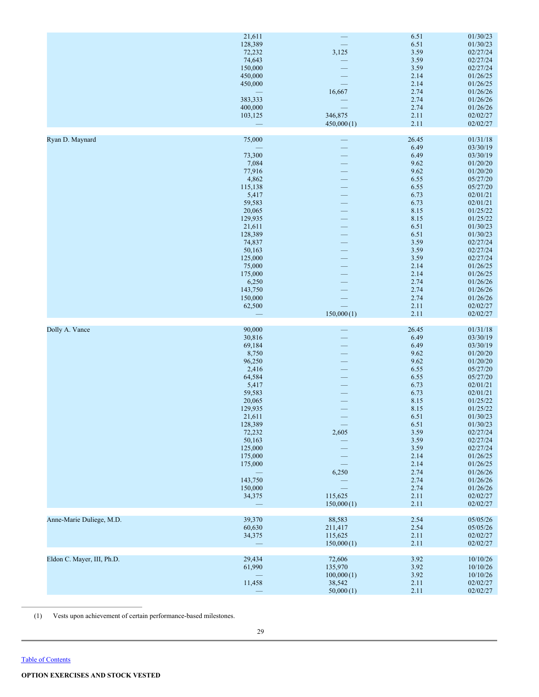|                            | 21,611<br>128,389<br>72,232<br>74,643<br>150,000<br>450,000<br>450,000<br>383,333<br>400,000<br>103,125                                                                                                            | $\qquad \qquad$<br>$\qquad \qquad$<br>3,125<br>$\overline{\phantom{0}}$<br>16,667<br>346,875<br>450,000(1) | 6.51<br>6.51<br>3.59<br>3.59<br>3.59<br>2.14<br>2.14<br>2.74<br>2.74<br>2.74<br>2.11<br>2.11                                                                                          | 01/30/23<br>01/30/23<br>02/27/24<br>02/27/24<br>02/27/24<br>01/26/25<br>01/26/25<br>01/26/26<br>01/26/26<br>01/26/26<br>02/02/27<br>02/02/27                                                                                                                                     |
|----------------------------|--------------------------------------------------------------------------------------------------------------------------------------------------------------------------------------------------------------------|------------------------------------------------------------------------------------------------------------|---------------------------------------------------------------------------------------------------------------------------------------------------------------------------------------|----------------------------------------------------------------------------------------------------------------------------------------------------------------------------------------------------------------------------------------------------------------------------------|
| Ryan D. Maynard            | 75,000<br>73,300<br>7,084<br>77,916<br>4,862<br>115,138<br>5,417<br>59,583<br>20,065<br>129,935<br>21,611<br>128,389<br>74,837<br>50,163<br>125,000<br>75,000<br>175,000<br>6,250<br>143,750<br>150,000<br>62,500  | $\qquad \qquad -$<br>150,000(1)                                                                            | 26.45<br>6.49<br>6.49<br>9.62<br>9.62<br>6.55<br>6.55<br>6.73<br>6.73<br>8.15<br>8.15<br>6.51<br>6.51<br>3.59<br>3.59<br>3.59<br>2.14<br>2.14<br>2.74<br>2.74<br>2.74<br>2.11<br>2.11 | 01/31/18<br>03/30/19<br>03/30/19<br>01/20/20<br>01/20/20<br>05/27/20<br>05/27/20<br>02/01/21<br>02/01/21<br>01/25/22<br>01/25/22<br>01/30/23<br>01/30/23<br>02/27/24<br>02/27/24<br>02/27/24<br>01/26/25<br>01/26/25<br>01/26/26<br>01/26/26<br>01/26/26<br>02/02/27<br>02/02/27 |
| Dolly A. Vance             | 90,000<br>30,816<br>69,184<br>8,750<br>96,250<br>2,416<br>64,584<br>5,417<br>59,583<br>20,065<br>129,935<br>21,611<br>128,389<br>72,232<br>50,163<br>125,000<br>175,000<br>175,000<br>143,750<br>150,000<br>34,375 | $\qquad \qquad -$<br>2,605<br>6,250<br>115,625<br>150,000(1)                                               | 26.45<br>6.49<br>6.49<br>9.62<br>9.62<br>6.55<br>6.55<br>6.73<br>6.73<br>8.15<br>8.15<br>6.51<br>6.51<br>3.59<br>3.59<br>3.59<br>2.14<br>2.14<br>2.74<br>2.74<br>2.74<br>2.11<br>2.11 | 01/31/18<br>03/30/19<br>03/30/19<br>01/20/20<br>01/20/20<br>05/27/20<br>05/27/20<br>02/01/21<br>02/01/21<br>01/25/22<br>01/25/22<br>01/30/23<br>01/30/23<br>02/27/24<br>02/27/24<br>02/27/24<br>01/26/25<br>01/26/25<br>01/26/26<br>01/26/26<br>01/26/26<br>02/02/27<br>02/02/27 |
| Anne-Marie Duliege, M.D.   | 39,370<br>60,630<br>34,375                                                                                                                                                                                         | 88,583<br>211,417<br>115,625<br>150,000(1)                                                                 | 2.54<br>2.54<br>2.11<br>2.11                                                                                                                                                          | 05/05/26<br>05/05/26<br>02/02/27<br>02/02/27                                                                                                                                                                                                                                     |
| Eldon C. Mayer, III, Ph.D. | 29,434<br>61,990<br>11,458                                                                                                                                                                                         | 72,606<br>135,970<br>100,000(1)<br>38,542<br>50,000(1)                                                     | 3.92<br>3.92<br>3.92<br>2.11<br>2.11                                                                                                                                                  | 10/10/26<br>10/10/26<br>10/10/26<br>02/02/27<br>02/02/27                                                                                                                                                                                                                         |

(1) Vests upon achievement of certain performance-based milestones.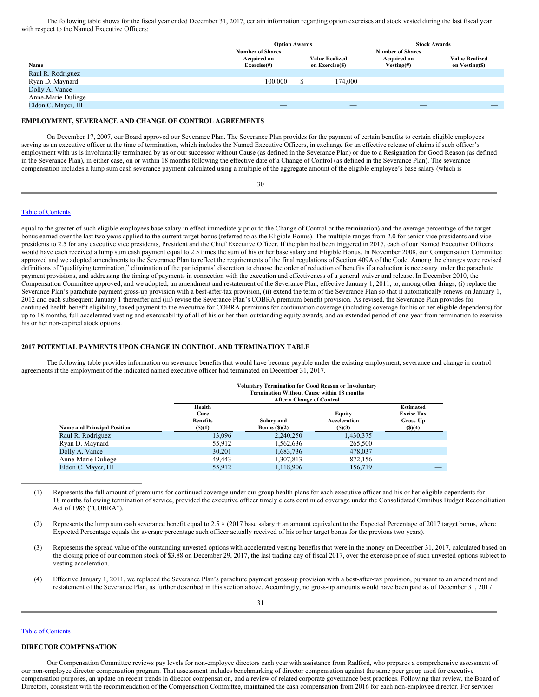The following table shows for the fiscal year ended December 31, 2017, certain information regarding option exercises and stock vested during the last fiscal year with respect to the Named Executive Officers:

|                     | <b>Option Awards</b>                                                                                      |  |                          | <b>Stock Awards</b>                                            |                                         |  |
|---------------------|-----------------------------------------------------------------------------------------------------------|--|--------------------------|----------------------------------------------------------------|-----------------------------------------|--|
| Name                | <b>Number of Shares</b><br><b>Acquired on</b><br><b>Value Realized</b><br>Exercise (#)<br>on Exercise(\$) |  |                          | <b>Number of Shares</b><br><b>Acquired on</b><br>$Vesting(\#)$ | <b>Value Realized</b><br>on Vesting(\$) |  |
| Raul R. Rodriguez   | $\overline{\phantom{a}}$                                                                                  |  | $\overline{\phantom{a}}$ | $\overline{\phantom{a}}$                                       |                                         |  |
| Ryan D. Maynard     | 100,000                                                                                                   |  | 174,000                  |                                                                | $\overline{\phantom{a}}$                |  |
| Dolly A. Vance      | $\overline{\phantom{a}}$                                                                                  |  | $\overline{\phantom{a}}$ | $\overline{\phantom{a}}$                                       |                                         |  |
| Anne-Marie Duliege  |                                                                                                           |  | $\overline{\phantom{a}}$ |                                                                |                                         |  |
| Eldon C. Mayer, III | $\overline{\phantom{a}}$                                                                                  |  | $\overline{\phantom{a}}$ | $\overline{\phantom{a}}$                                       | __                                      |  |

# **EMPLOYMENT, SEVERANCE AND CHANGE OF CONTROL AGREEMENTS**

On December 17, 2007, our Board approved our Severance Plan. The Severance Plan provides for the payment of certain benefits to certain eligible employees serving as an executive officer at the time of termination, which includes the Named Executive Officers, in exchange for an effective release of claims if such officer's employment with us is involuntarily terminated by us or our successor without Cause (as defined in the Severance Plan) or due to a Resignation for Good Reason (as defined in the Severance Plan), in either case, on or within 18 months following the effective date of a Change of Control (as defined in the Severance Plan). The severance compensation includes a lump sum cash severance payment calculated using a multiple of the aggregate amount of the eligible employee's base salary (which is

## Table of [Contents](#page-1-0)

equal to the greater of such eligible employees base salary in effect immediately prior to the Change of Control or the termination) and the average percentage of the target bonus earned over the last two years applied to the current target bonus (referred to as the Eligible Bonus). The multiple ranges from 2.0 for senior vice presidents and vice presidents to 2.5 for any executive vice presidents, President and the Chief Executive Officer. If the plan had been triggered in 2017, each of our Named Executive Officers would have each received a lump sum cash payment equal to 2.5 times the sum of his or her base salary and Eligible Bonus. In November 2008, our Compensation Committee approved and we adopted amendments to the Severance Plan to reflect the requirements of the final regulations of Section 409A of the Code. Among the changes were revised definitions of "qualifying termination," elimination of the participants' discretion to choose the order of reduction of benefits if a reduction is necessary under the parachute payment provisions, and addressing the timing of payments in connection with the execution and effectiveness of a general waiver and release. In December 2010, the Compensation Committee approved, and we adopted, an amendment and restatement of the Severance Plan, effective January 1, 2011, to, among other things, (i) replace the Severance Plan's parachute payment gross-up provision with a best-after-tax provision, (ii) extend the term of the Severance Plan so that it automatically renews on January 1, 2012 and each subsequent January 1 thereafter and (iii) revise the Severance Plan's COBRA premium benefit provision. As revised, the Severance Plan provides for continued health benefit eligibility, taxed payment to the executive for COBRA premiums for continuation coverage (including coverage for his or her eligible dependents) for up to 18 months, full accelerated vesting and exercisability of all of his or her then-outstanding equity awards, and an extended period of one-year from termination to exercise his or her non-expired stock options.

## **2017 POTENTIAL PAYMENTS UPON CHANGE IN CONTROL AND TERMINATION TABLE**

The following table provides information on severance benefits that would have become payable under the existing employment, severance and change in control agreements if the employment of the indicated named executive officer had terminated on December 31, 2017.

|                                                       | <b>Voluntary Termination for Good Reason or Involuntary</b><br><b>Termination Without Cause within 18 months</b> |                              |                        |                                       |  |  |  |  |
|-------------------------------------------------------|------------------------------------------------------------------------------------------------------------------|------------------------------|------------------------|---------------------------------------|--|--|--|--|
| After a Change of Control<br>Health<br>Equity<br>Care |                                                                                                                  |                              |                        | <b>Estimated</b><br><b>Excise Tax</b> |  |  |  |  |
| <b>Name and Principal Position</b>                    | <b>Benefits</b><br>(5)(1)                                                                                        | Salary and<br>Bonus $(S)(2)$ | Acceleration<br>(S)(3) | Gross-Up<br>$($ (\$)(4)               |  |  |  |  |
| Raul R. Rodriguez                                     | 13,096                                                                                                           | 2,240,250                    | 1,430,375              |                                       |  |  |  |  |
| Ryan D. Maynard                                       | 55.912                                                                                                           | 1.562.636                    | 265,500                |                                       |  |  |  |  |
| Dolly A. Vance                                        | 30,201                                                                                                           | 1,683,736                    | 478,037                |                                       |  |  |  |  |
| Anne-Marie Duliege                                    | 49.443                                                                                                           | 1,307,813                    | 872.156                |                                       |  |  |  |  |
| Eldon C. Mayer, III                                   | 55,912                                                                                                           | 1,118,906                    | 156,719                |                                       |  |  |  |  |

(1) Represents the full amount of premiums for continued coverage under our group health plans for each executive officer and his or her eligible dependents for 18 months following termination of service, provided the executive officer timely elects continued coverage under the Consolidated Omnibus Budget Reconciliation Act of 1985 ("COBRA").

(2) Represents the lump sum cash severance benefit equal to 2.5 × (2017 base salary + an amount equivalent to the Expected Percentage of 2017 target bonus, where Expected Percentage equals the average percentage such officer actually received of his or her target bonus for the previous two years).

- (3) Represents the spread value of the outstanding unvested options with accelerated vesting benefits that were in the money on December 31, 2017, calculated based on the closing price of our common stock of \$3.88 on December 29, 2017, the last trading day of fiscal 2017, over the exercise price of such unvested options subject to vesting acceleration.
- (4) Effective January 1, 2011, we replaced the Severance Plan's parachute payment gross-up provision with a best-after-tax provision, pursuant to an amendment and restatement of the Severance Plan, as further described in this section above. Accordingly, no gross-up amounts would have been paid as of December 31, 2017.

#### Table of [Contents](#page-1-0)

## **DIRECTOR COMPENSATION**

Our Compensation Committee reviews pay levels for non-employee directors each year with assistance from Radford, who prepares a comprehensive assessment of our non-employee director compensation program. That assessment includes benchmarking of director compensation against the same peer group used for executive compensation purposes, an update on recent trends in director compensation, and a review of related corporate governance best practices. Following that review, the Board of Directors, consistent with the recommendation of the Compensation Committee, maintained the cash compensation from 2016 for each non-employee director. For services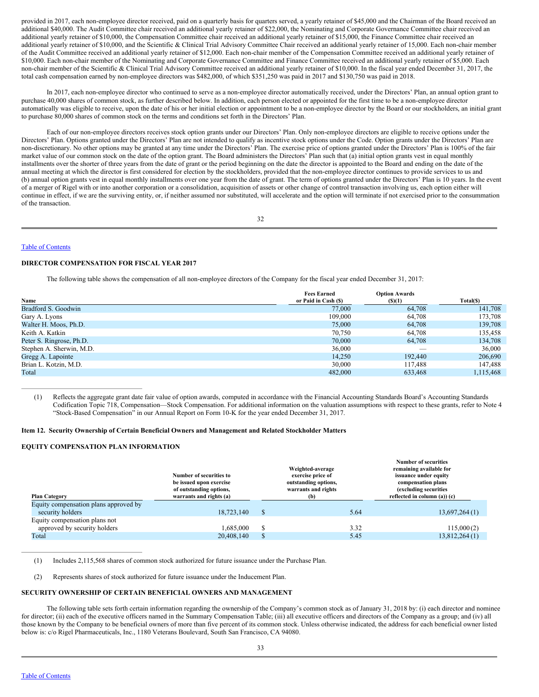provided in 2017, each non-employee director received, paid on a quarterly basis for quarters served, a yearly retainer of \$45,000 and the Chairman of the Board received an additional \$40,000. The Audit Committee chair received an additional yearly retainer of \$22,000, the Nominating and Corporate Governance Committee chair received an additional yearly retainer of \$10,000, the Compensation Committee chair received an additional yearly retainer of \$15,000, the Finance Committee chair received an additional yearly retainer of \$10,000, and the Scientific & Clinical Trial Advisory Committee Chair received an additional yearly retainer of 15,000. Each non-chair member of the Audit Committee received an additional yearly retainer of \$12,000. Each non-chair member of the Compensation Committee received an additional yearly retainer of \$10,000. Each non-chair member of the Nominating and Corporate Governance Committee and Finance Committee received an additional yearly retainer of \$5,000. Each non-chair member of the Scientific & Clinical Trial Advisory Committee received an additional yearly retainer of \$10,000. In the fiscal year ended December 31, 2017, the total cash compensation earned by non-employee directors was \$482,000, of which \$351,250 was paid in 2017 and \$130,750 was paid in 2018.

In 2017, each non-employee director who continued to serve as a non-employee director automatically received, under the Directors' Plan, an annual option grant to purchase 40,000 shares of common stock, as further described below. In addition, each person elected or appointed for the first time to be a non-employee director automatically was eligible to receive, upon the date of his or her initial election or appointment to be a non-employee director by the Board or our stockholders, an initial grant to purchase 80,000 shares of common stock on the terms and conditions set forth in the Directors' Plan.

Each of our non-employee directors receives stock option grants under our Directors' Plan. Only non-employee directors are eligible to receive options under the Directors' Plan. Options granted under the Directors' Plan are not intended to qualify as incentive stock options under the Code. Option grants under the Directors' Plan are non-discretionary. No other options may be granted at any time under the Directors' Plan. The exercise price of options granted under the Directors' Plan is 100% of the fair market value of our common stock on the date of the option grant. The Board administers the Directors' Plan such that (a) initial option grants vest in equal monthly installments over the shorter of three years from the date of grant or the period beginning on the date the director is appointed to the Board and ending on the date of the annual meeting at which the director is first considered for election by the stockholders, provided that the non-employee director continues to provide services to us and (b) annual option grants vest in equal monthly installments over one year from the date of grant. The term of options granted under the Directors' Plan is 10 years. In the event of a merger of Rigel with or into another corporation or a consolidation, acquisition of assets or other change of control transaction involving us, each option either will continue in effect, if we are the surviving entity, or, if neither assumed nor substituted, will accelerate and the option will terminate if not exercised prior to the consummation of the transaction.

<span id="page-19-0"></span>32

## Table of [Contents](#page-1-0)

# **DIRECTOR COMPENSATION FOR FISCAL YEAR 2017**

The following table shows the compensation of all non-employee directors of the Company for the fiscal year ended December 31, 2017:

|                          | <b>Fees Earned</b>   | <b>Option Awards</b> |           |
|--------------------------|----------------------|----------------------|-----------|
| Name                     | or Paid in Cash (\$) | (5)(1)               | Total(\$) |
| Bradford S. Goodwin      | 77,000               | 64,708               | 141,708   |
| Gary A. Lyons            | 109,000              | 64,708               | 173,708   |
| Walter H. Moos, Ph.D.    | 75,000               | 64,708               | 139,708   |
| Keith A. Katkin          | 70,750               | 64,708               | 135,458   |
| Peter S. Ringrose, Ph.D. | 70,000               | 64,708               | 134,708   |
| Stephen A. Sherwin, M.D. | 36,000               |                      | 36,000    |
| Gregg A. Lapointe        | 14.250               | 192,440              | 206,690   |
| Brian L. Kotzin, M.D.    | 30,000               | 117,488              | 147,488   |
| Total                    | 482,000              | 633,468              | 1,115,468 |

<sup>(1)</sup> Reflects the aggregate grant date fair value of option awards, computed in accordance with the Financial Accounting Standards Board's Accounting Standards Codification Topic 718, Compensation—Stock Compensation. For additional information on the valuation assumptions with respect to these grants, refer to Note 4 "Stock-Based Compensation" in our Annual Report on Form 10-K for the year ended December 31, 2017.

## **Item 12. Security Ownership of Certain Beneficial Owners and Management and Related Stockholder Matters**

## **EQUITY COMPENSATION PLAN INFORMATION**

|                                       | Number of securities to<br>be issued upon exercise<br>of outstanding options, |    | Weighted-average<br>exercise price of<br>outstanding options,<br>warrants and rights | <b>Number of securities</b><br>remaining available for<br>issuance under equity<br>compensation plans<br>(excluding securities) |
|---------------------------------------|-------------------------------------------------------------------------------|----|--------------------------------------------------------------------------------------|---------------------------------------------------------------------------------------------------------------------------------|
| <b>Plan Category</b>                  | warrants and rights (a)                                                       |    | (b)                                                                                  | reflected in column $(a)$ ) $(c)$                                                                                               |
| Equity compensation plans approved by |                                                                               |    |                                                                                      |                                                                                                                                 |
| security holders                      | 18,723,140                                                                    | \$ | 5.64                                                                                 | 13,697,264(1)                                                                                                                   |
| Equity compensation plans not         |                                                                               |    |                                                                                      |                                                                                                                                 |
| approved by security holders          | 1.685.000                                                                     | S  | 3.32                                                                                 | 115,000(2)                                                                                                                      |
| Total                                 | 20,408,140                                                                    | S  | 5.45                                                                                 | 13,812,264(1)                                                                                                                   |

(1) Includes 2,115,568 shares of common stock authorized for future issuance under the Purchase Plan.

(2) Represents shares of stock authorized for future issuance under the Inducement Plan.

## **SECURITY OWNERSHIP OF CERTAIN BENEFICIAL OWNERS AND MANAGEMENT**

The following table sets forth certain information regarding the ownership of the Company's common stock as of January 31, 2018 by: (i) each director and nominee for director; (ii) each of the executive officers named in the Summary Compensation Table; (iii) all executive officers and directors of the Company as a group; and (iv) all those known by the Company to be beneficial owners of more than five percent of its common stock. Unless otherwise indicated, the address for each beneficial owner listed below is: c/o Rigel Pharmaceuticals, Inc., 1180 Veterans Boulevard, South San Francisco, CA 94080.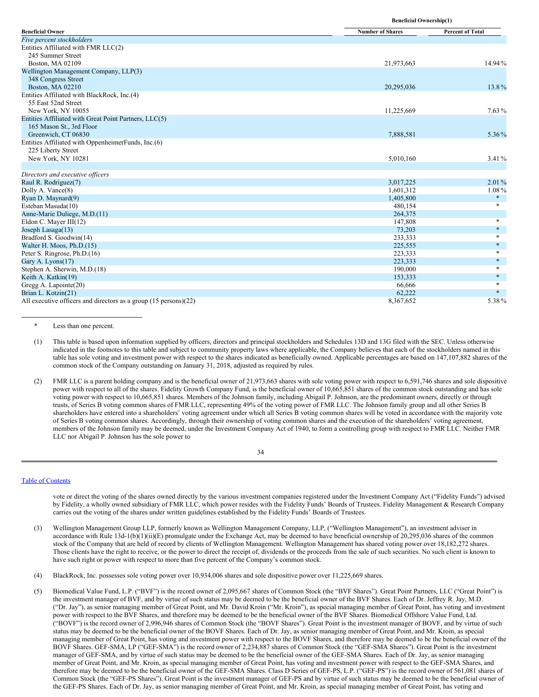|                                                                  | DUIUILIAI OWIEI SIIIPI I J |                         |  |  |
|------------------------------------------------------------------|----------------------------|-------------------------|--|--|
| <b>Beneficial Owner</b>                                          | <b>Number of Shares</b>    | <b>Percent of Total</b> |  |  |
| Five percent stockholders                                        |                            |                         |  |  |
| Entities Affiliated with FMR LLC(2)                              |                            |                         |  |  |
| 245 Summer Street                                                |                            |                         |  |  |
| Boston, MA 02109                                                 | 21,973,663                 | 14.94%                  |  |  |
| Wellington Management Company, LLP(3)                            |                            |                         |  |  |
| 348 Congress Street                                              |                            |                         |  |  |
| Boston, MA 02210                                                 | 20,295,036                 | 13.8%                   |  |  |
| Entities Affiliated with BlackRock, Inc.(4)                      |                            |                         |  |  |
| 55 East 52nd Street                                              |                            |                         |  |  |
| New York, NY 10055                                               | 11,225,669                 | 7.63%                   |  |  |
| Entities Affiliated with Great Point Partners, LLC(5)            |                            |                         |  |  |
| 165 Mason St., 3rd Floor                                         |                            |                         |  |  |
| Greenwich, CT 06830                                              | 7,888,581                  | 5.36%                   |  |  |
| Entities Affiliated with OppenheimerFunds, Inc.(6)               |                            |                         |  |  |
| 225 Liberty Street                                               |                            |                         |  |  |
| New York, NY 10281                                               | 5,010,160                  | 3.41%                   |  |  |
| Directors and executive officers                                 |                            |                         |  |  |
| Raul R. Rodriguez(7)                                             | 3,017,225                  | $2.01\%$                |  |  |
| Dolly A. Vance(8)                                                | 1,601,312                  | 1.08%                   |  |  |
| Ryan D. Maynard(9)                                               | 1,405,800                  | $\ast$                  |  |  |
| Esteban Masuda(10)                                               | 480,154                    | $\ast$                  |  |  |
| Anne-Marie Duliege, M.D.(11)                                     | 264,375                    |                         |  |  |
| Eldon C. Mayer III $(12)$                                        | 147,808                    | *                       |  |  |
| Joseph Lasaga(13)                                                | 73,203                     | $\ast$                  |  |  |
| Bradford S. Goodwin(14)                                          | 233,333                    | *                       |  |  |
| Walter H. Moos, Ph.D.(15)                                        | 225,555                    | $*$                     |  |  |
| Peter S. Ringrose, Ph.D.(16)                                     | 223,333                    | *                       |  |  |
| Gary A. Lyons(17)                                                | 223,333                    | $\ast$                  |  |  |
| Stephen A. Sherwin, M.D.(18)                                     | 190,000                    | *                       |  |  |
| Keith A. Katkin(19)                                              | 153,333                    | $\ast$                  |  |  |
| Gregg A. Lapointe(20)                                            | 66,666                     | $*$                     |  |  |
| Brian L. Kotzin(21)                                              | 62,222                     | $\ast$                  |  |  |
| All executive officers and directors as a group (15 persons)(22) | 8,367,652                  | 5.38%                   |  |  |

**Beneficial Ownership(1)**

\* Less than one percent.

- (1) This table is based upon information supplied by officers, directors and principal stockholders and Schedules 13D and 13G filed with the SEC. Unless otherwise indicated in the footnotes to this table and subject to community property laws where applicable, the Company believes that each of the stockholders named in this table has sole voting and investment power with respect to the shares indicated as beneficially owned. Applicable percentages are based on 147,107,882 shares of the common stock of the Company outstanding on January 31, 2018, adjusted as required by rules.
- (2) FMR LLC is a parent holding company and is the beneficial owner of 21,973,663 shares with sole voting power with respect to 6,591,746 shares and sole dispositive power with respect to all of the shares. Fidelity Growth Company Fund, is the beneficial owner of 10,665,851 shares of the common stock outstanding and has sole voting power with respect to 10,665,851 shares. Members of the Johnson family, including Abigail P. Johnson, are the predominant owners, directly or through trusts, of Series B voting common shares of FMR LLC, representing 49% of the voting power of FMR LLC. The Johnson family group and all other Series B shareholders have entered into a shareholders' voting agreement under which all Series B voting common shares will be voted in accordance with the majority vote of Series B voting common shares. Accordingly, through their ownership of voting common shares and the execution of the shareholders' voting agreement, members of the Johnson family may be deemed, under the Investment Company Act of 1940, to form a controlling group with respect to FMR LLC. Neither FMR LLC nor Abigail P. Johnson has the sole power to

|                       | ٦ |  |
|-----------------------|---|--|
| ı<br>ı<br>٠<br>$\sim$ |   |  |

#### Table of [Contents](#page-1-0)

vote or direct the voting of the shares owned directly by the various investment companies registered under the Investment Company Act ("Fidelity Funds") advised by Fidelity, a wholly owned subsidiary of FMR LLC, which power resides with the Fidelity Funds' Boards of Trustees. Fidelity Management & Research Company carries out the voting of the shares under written guidelines established by the Fidelity Funds' Boards of Trustees.

- (3) Wellington Management Group LLP, formerly known as Wellington Management Company, LLP, ("Wellington Management"), an investment adviser in accordance with Rule 13d-1(b)(1)(ii)(E) promulgate under the Exchange Act, may be deemed to have beneficial ownership of 20,295,036 shares of the common stock of the Company that are held of record by clients of Wellington Management. Wellington Management has shared voting power over 18,182,272 shares. Those clients have the right to receive, or the power to direct the receipt of, dividends or the proceeds from the sale of such securities. No such client is known to have such right or power with respect to more than five percent of the Company's common stock.
- (4) BlackRock, Inc. possesses sole voting power over 10,934,006 shares and sole dispositive power over 11,225,669 shares.
- (5) Biomedical Value Fund, L.P. ("BVF") is the record owner of 2,095,667 shares of Common Stock (the "BVF Shares"). Great Point Partners, LLC ("Great Point") is the investment manager of BVF, and by virtue of such status may be deemed to be the beneficial owner of the BVF Shares. Each of Dr. Jeffrey R. Jay, M.D. ("Dr. Jay"), as senior managing member of Great Point, and Mr. David Kroin ("Mr. Kroin"), as special managing member of Great Point, has voting and investment power with respect to the BVF Shares, and therefore may be deemed to be the beneficial owner of the BVF Shares. Biomedical Offshore Value Fund, Ltd. ("BOVF") is the record owner of 2,996,946 shares of Common Stock (the "BOVF Shares"). Great Point is the investment manager of BOVF, and by virtue of such status may be deemed to be the beneficial owner of the BOVF Shares. Each of Dr. Jay, as senior managing member of Great Point, and Mr. Kroin, as special managing member of Great Point, has voting and investment power with respect to the BOVF Shares, and therefore may be deemed to be the beneficial owner of the BOVF Shares. GEF-SMA, LP ("GEF-SMA") is the record owner of 2,234,887 shares of Common Stock (the "GEF-SMA Shares"). Great Point is the investment manager of GEF-SMA, and by virtue of such status may be deemed to be the beneficial owner of the GEF-SMA Shares. Each of Dr. Jay, as senior managing member of Great Point, and Mr. Kroin, as special managing member of Great Point, has voting and investment power with respect to the GEF-SMA Shares, and therefore may be deemed to be the beneficial owner of the GEF-SMA Shares. Class D Series of GEF-PS, L.P. ("GEF-PS") is the record owner of 561,081 shares of Common Stock (the "GEF-PS Shares"). Great Point is the investment manager of GEF-PS and by virtue of such status may be deemed to be the beneficial owner of the GEF-PS Shares. Each of Dr. Jay, as senior managing member of Great Point, and Mr. Kroin, as special managing member of Great Point, has voting and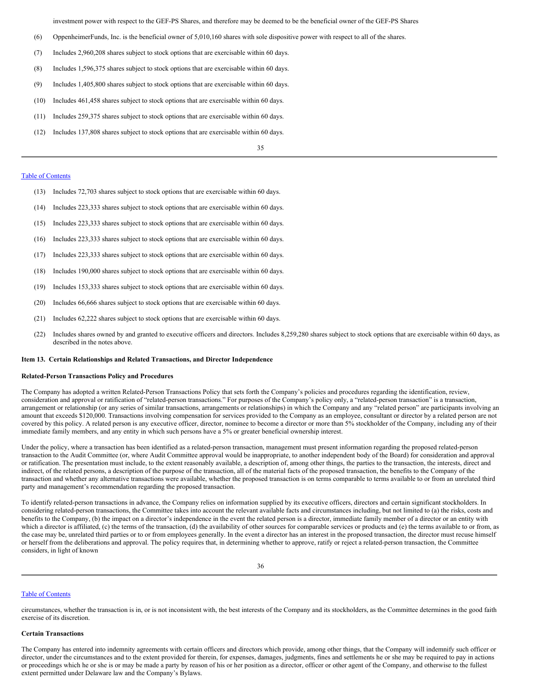investment power with respect to the GEF-PS Shares, and therefore may be deemed to be the beneficial owner of the GEF-PS Shares

- (6) OppenheimerFunds, Inc. is the beneficial owner of 5,010,160 shares with sole dispositive power with respect to all of the shares.
- (7) Includes 2,960,208 shares subject to stock options that are exercisable within 60 days.
- (8) Includes 1,596,375 shares subject to stock options that are exercisable within 60 days.
- (9) Includes 1,405,800 shares subject to stock options that are exercisable within 60 days.
- (10) Includes 461,458 shares subject to stock options that are exercisable within 60 days.
- (11) Includes 259,375 shares subject to stock options that are exercisable within 60 days.
- (12) Includes 137,808 shares subject to stock options that are exercisable within 60 days.

<span id="page-21-0"></span>35

#### Table of [Contents](#page-1-0)

- (13) Includes 72,703 shares subject to stock options that are exercisable within 60 days.
- (14) Includes 223,333 shares subject to stock options that are exercisable within 60 days.
- (15) Includes 223,333 shares subject to stock options that are exercisable within 60 days.
- (16) Includes 223,333 shares subject to stock options that are exercisable within 60 days.
- (17) Includes 223,333 shares subject to stock options that are exercisable within 60 days.
- (18) Includes 190,000 shares subject to stock options that are exercisable within 60 days.
- (19) Includes 153,333 shares subject to stock options that are exercisable within 60 days.
- (20) Includes 66,666 shares subject to stock options that are exercisable within 60 days.
- (21) Includes 62,222 shares subject to stock options that are exercisable within 60 days.
- (22) Includes shares owned by and granted to executive officers and directors. Includes 8,259,280 shares subject to stock options that are exercisable within 60 days, as described in the notes above.

#### **Item 13. Certain Relationships and Related Transactions, and Director Independence**

## **Related-Person Transactions Policy and Procedures**

The Company has adopted a written Related-Person Transactions Policy that sets forth the Company's policies and procedures regarding the identification, review, consideration and approval or ratification of "related-person transactions." For purposes of the Company's policy only, a "related-person transaction" is a transaction, arrangement or relationship (or any series of similar transactions, arrangements or relationships) in which the Company and any "related person" are participants involving an amount that exceeds \$120,000. Transactions involving compensation for services provided to the Company as an employee, consultant or director by a related person are not covered by this policy. A related person is any executive officer, director, nominee to become a director or more than 5% stockholder of the Company, including any of their immediate family members, and any entity in which such persons have a 5% or greater beneficial ownership interest.

Under the policy, where a transaction has been identified as a related-person transaction, management must present information regarding the proposed related-person transaction to the Audit Committee (or, where Audit Committee approval would be inappropriate, to another independent body of the Board) for consideration and approval or ratification. The presentation must include, to the extent reasonably available, a description of, among other things, the parties to the transaction, the interests, direct and indirect, of the related persons, a description of the purpose of the transaction, all of the material facts of the proposed transaction, the benefits to the Company of the transaction and whether any alternative transactions were available, whether the proposed transaction is on terms comparable to terms available to or from an unrelated third party and management's recommendation regarding the proposed transaction.

To identify related-person transactions in advance, the Company relies on information supplied by its executive officers, directors and certain significant stockholders. In considering related-person transactions, the Committee takes into account the relevant available facts and circumstances including, but not limited to (a) the risks, costs and benefits to the Company, (b) the impact on a director's independence in the event the related person is a director, immediate family member of a director or an entity with which a director is affiliated, (c) the terms of the transaction, (d) the availability of other sources for comparable services or products and (e) the terms available to or from, as the case may be, unrelated third parties or to or from employees generally. In the event a director has an interest in the proposed transaction, the director must recuse himself or herself from the deliberations and approval. The policy requires that, in determining whether to approve, ratify or reject a related-person transaction, the Committee considers, in light of known

#### Table of [Contents](#page-1-0)

circumstances, whether the transaction is in, or is not inconsistent with, the best interests of the Company and its stockholders, as the Committee determines in the good faith exercise of its discretion.

#### **Certain Transactions**

The Company has entered into indemnity agreements with certain officers and directors which provide, among other things, that the Company will indemnify such officer or director, under the circumstances and to the extent provided for therein, for expenses, damages, judgments, fines and settlements he or she may be required to pay in actions or proceedings which he or she is or may be made a party by reason of his or her position as a director, officer or other agent of the Company, and otherwise to the fullest extent permitted under Delaware law and the Company's Bylaws.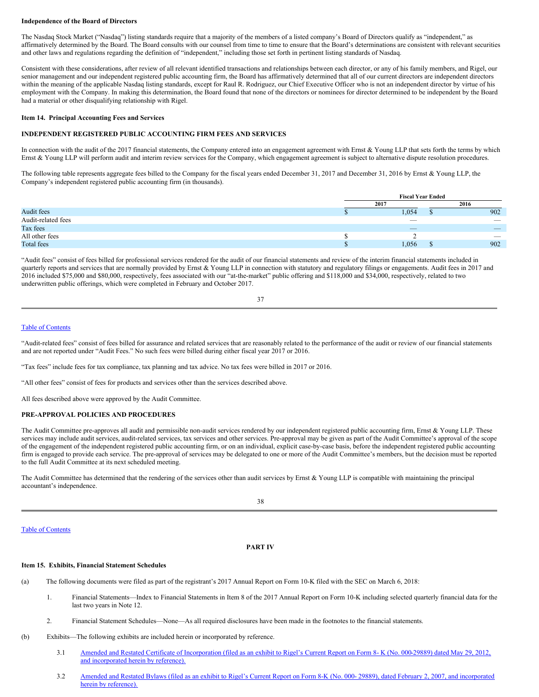#### **Independence of the Board of Directors**

The Nasdaq Stock Market ("Nasdaq") listing standards require that a majority of the members of a listed company's Board of Directors qualify as "independent," as affirmatively determined by the Board. The Board consults with our counsel from time to time to ensure that the Board's determinations are consistent with relevant securities and other laws and regulations regarding the definition of "independent," including those set forth in pertinent listing standards of Nasdaq.

Consistent with these considerations, after review of all relevant identified transactions and relationships between each director, or any of his family members, and Rigel, our senior management and our independent registered public accounting firm, the Board has affirmatively determined that all of our current directors are independent directors within the meaning of the applicable Nasdaq listing standards, except for Raul R. Rodriguez, our Chief Executive Officer who is not an independent director by virtue of his employment with the Company. In making this determination, the Board found that none of the directors or nominees for director determined to be independent by the Board had a material or other disqualifying relationship with Rigel.

#### <span id="page-22-0"></span>**Item 14. Principal Accounting Fees and Services**

## **INDEPENDENT REGISTERED PUBLIC ACCOUNTING FIRM FEES AND SERVICES**

In connection with the audit of the 2017 financial statements, the Company entered into an engagement agreement with Ernst & Young LLP that sets forth the terms by which Ernst & Young LLP will perform audit and interim review services for the Company, which engagement agreement is subject to alternative dispute resolution procedures.

The following table represents aggregate fees billed to the Company for the fiscal years ended December 31, 2017 and December 31, 2016 by Ernst & Young LLP, the Company's independent registered public accounting firm (in thousands).

|                    | <b>Fiscal Year Ended</b>                                                                                                                                                                                                                                                                                                                                                                                |  |                                 |  |
|--------------------|---------------------------------------------------------------------------------------------------------------------------------------------------------------------------------------------------------------------------------------------------------------------------------------------------------------------------------------------------------------------------------------------------------|--|---------------------------------|--|
|                    | 2017                                                                                                                                                                                                                                                                                                                                                                                                    |  | 2016                            |  |
| Audit fees         | 1,054                                                                                                                                                                                                                                                                                                                                                                                                   |  | 902                             |  |
| Audit-related fees | $\hspace{0.1mm}-\hspace{0.1mm}$                                                                                                                                                                                                                                                                                                                                                                         |  | $\hspace{0.1mm}-\hspace{0.1mm}$ |  |
| Tax fees           | $\hspace{1.0cm} \overline{\hspace{1.0cm} \hspace{1.0cm} \hspace{1.0cm} } \hspace{1.0cm} \hspace{1.0cm} \overline{\hspace{1.0cm} \hspace{1.0cm} \hspace{1.0cm} } \hspace{1.0cm} \hspace{1.0cm} \overline{\hspace{1.0cm} \hspace{1.0cm} \hspace{1.0cm} } \hspace{1.0cm} \hspace{1.0cm} \overline{\hspace{1.0cm} \hspace{1.0cm} \hspace{1.0cm} } \hspace{1.0cm} \hspace{1.0cm} \hspace{1.0cm} } \hspace{1$ |  | $-$                             |  |
| All other fees     |                                                                                                                                                                                                                                                                                                                                                                                                         |  | $\overline{\phantom{a}}$        |  |
| <b>Total fees</b>  | 1,056                                                                                                                                                                                                                                                                                                                                                                                                   |  | 902                             |  |

"Audit fees" consist of fees billed for professional services rendered for the audit of our financial statements and review of the interim financial statements included in quarterly reports and services that are normally provided by Ernst & Young LLP in connection with statutory and regulatory filings or engagements. Audit fees in 2017 and 2016 included \$75,000 and \$80,000, respectively, fees associated with our "at-the-market" public offering and \$118,000 and \$34,000, respectively, related to two underwritten public offerings, which were completed in February and October 2017.

| ı<br>× |  |
|--------|--|

## Table of [Contents](#page-1-0)

"Audit-related fees" consist of fees billed for assurance and related services that are reasonably related to the performance of the audit or review of our financial statements and are not reported under "Audit Fees." No such fees were billed during either fiscal year 2017 or 2016.

"Tax fees" include fees for tax compliance, tax planning and tax advice. No tax fees were billed in 2017 or 2016.

"All other fees" consist of fees for products and services other than the services described above.

All fees described above were approved by the Audit Committee.

## **PRE-APPROVAL POLICIES AND PROCEDURES**

The Audit Committee pre-approves all audit and permissible non-audit services rendered by our independent registered public accounting firm, Ernst & Young LLP. These services may include audit services, audit-related services, tax services and other services. Pre-approval may be given as part of the Audit Committee's approval of the scope of the engagement of the independent registered public accounting firm, or on an individual, explicit case-by-case basis, before the independent registered public accounting firm is engaged to provide each service. The pre-approval of services may be delegated to one or more of the Audit Committee's members, but the decision must be reported to the full Audit Committee at its next scheduled meeting.

The Audit Committee has determined that the rendering of the services other than audit services by Ernst & Young LLP is compatible with maintaining the principal accountant's independence.

38

## Table of [Contents](#page-1-0)

## <span id="page-22-2"></span><span id="page-22-1"></span>**PART IV**

## **Item 15. Exhibits, Financial Statement Schedules**

- (a) The following documents were filed as part of the registrant's 2017 Annual Report on Form 10-K filed with the SEC on March 6, 2018:
	- 1. Financial Statements—Index to Financial Statements in Item 8 of the 2017 Annual Report on Form 10-K including selected quarterly financial data for the last two years in Note 12.
	- 2. Financial Statement Schedules—None—As all required disclosures have been made in the footnotes to the financial statements.
- (b) Exhibits—The following exhibits are included herein or incorporated by reference.
	- 3.1 Amended and Restated Certificate of [Incorporation](http://www.sec.gov/Archives/edgar/data/1034842/000110465912040165/a12-13153_1ex99d2.htm) (filed as an exhibit to Rigel's Current Report on Form 8- K (No. 000-29889) dated May 29, 2012, and incorporated herein by reference).
	- 3.2 Amended and Restated Bylaws (filed as an exhibit to Rigel's Current Report on Form 8-K (No. 000- 29889), dated February 2, 2007, and [incorporated](http://www.sec.gov/Archives/edgar/data/1034842/000110465907006932/a07-3422_1ex3d2.htm) herein by reference).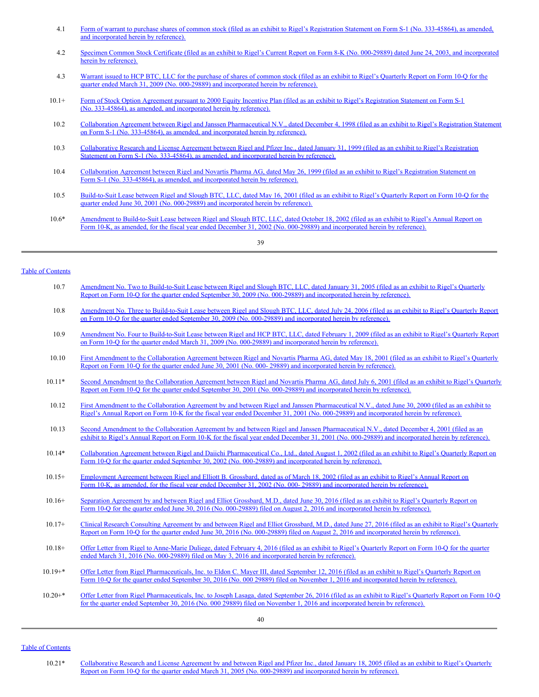| Form of warrant to purchase shares of common stock (filed as an exhibit to Rigel's Registration Statement on Form S-1 (No. 333-45864), as amended, |  |  |  |  |  |
|----------------------------------------------------------------------------------------------------------------------------------------------------|--|--|--|--|--|
| and incorporated herein by reference).                                                                                                             |  |  |  |  |  |

- 4.2 Specimen Common Stock Certificate (filed as an exhibit to Rigel's Current Report on Form 8-K (No. 000-29889) dated June 24, 2003, and [incorporated](http://www.sec.gov/Archives/edgar/data/1034842/000110465903012978/j2357_ex4d1.htm) herein by reference).
- 4.3 Warrant issued to HCP BTC, LLC for the purchase of shares of common stock (filed as an exhibit to Rigel's Quarterly Report on Form 10-Q for the quarter ended March 31, 2009 (No. 000-29889) and [incorporated](http://www.sec.gov/Archives/edgar/data/1034842/000110465909029353/a09-11065_1ex4d3.htm) herein by reference).
- 10.1+ Form of Stock Option Agreement pursuant to 2000 Equity Incentive Plan (filed as an exhibit to Rigel's Registration Statement on Form S-1 (No. 333-45864), as amended, and [incorporated](http://www.sec.gov/Archives/edgar/data/1034842/000091205700041537/a2025040zex-10_3.txt) herein by reference).
- 10.2 Collaboration Agreement between Rigel and Janssen [Pharmaceutical](http://www.sec.gov/Archives/edgar/data/1034842/000091205700041537/a2025040zex-10_6.txt) N.V., dated December 4, 1998 (filed as an exhibit to Rigel's Registration Statement on Form S-1 (No. 333-45864), as amended, and incorporated herein by reference).
- 10.3 [Collaborative](http://www.sec.gov/Archives/edgar/data/1034842/000091205700041537/a2025040zex-10_7.txt) Research and License Agreement between Rigel and Pfizer Inc., dated January 31, 1999 (filed as an exhibit to Rigel's Registration Statement on Form S-1 (No. 333-45864), as amended, and incorporated herein by reference).
- 10.4 [Collaboration](http://www.sec.gov/Archives/edgar/data/1034842/000091205700041537/a2025040zex-10_8.txt) Agreement between Rigel and Novartis Pharma AG, dated May 26, 1999 (filed as an exhibit to Rigel's Registration Statement on Form S-1 (No. 333-45864), as amended, and incorporated herein by reference).
- 10.5 [Build-to-Suit](http://www.sec.gov/Archives/edgar/data/1034842/000091205701528291/a2055206zex-10_16.htm) Lease between Rigel and Slough BTC, LLC, dated May 16, 2001 (filed as an exhibit to Rigel's Quarterly Report on Form 10-Q for the quarter ended June 30, 2001 (No. 000-29889) and incorporated herein by reference).
- 10.6\* Amendment to [Build-to-Suit](http://www.sec.gov/Archives/edgar/data/1034842/000104746903011133/a2106829zex-10_26.htm) Lease between Rigel and Slough BTC, LLC, dated October 18, 2002 (filed as an exhibit to Rigel's Annual Report on Form 10-K, as amended, for the fiscal year ended December 31, 2002 (No. 000-29889) and incorporated herein by reference).

39

#### Table of [Contents](#page-1-0)

| 10.7        | Amendment No. Two to Build-to-Suit Lease between Rigel and Slough BTC, LLC, dated January 31, 2005 (filed as an exhibit to Rigel's Quarterly<br>Report on Form 10-O for the quarter ended September 30, 2009 (No. 000-29889) and incorporated herein by reference).                             |
|-------------|-------------------------------------------------------------------------------------------------------------------------------------------------------------------------------------------------------------------------------------------------------------------------------------------------|
| 10.8        | Amendment No. Three to Build-to-Suit Lease between Rigel and Slough BTC, LLC, dated July 24, 2006 (filed as an exhibit to Rigel's Quarterly Report<br>on Form 10-Q for the quarter ended September 30, 2009 (No. 000-29889) and incorporated herein by reference).                              |
| 10.9        | Amendment No. Four to Build-to-Suit Lease between Rigel and HCP BTC, LLC, dated February 1, 2009 (filed as an exhibit to Rigel's Ouarterly Report<br>on Form 10-O for the quarter ended March 31, 2009 (No. 000-29889) and incorporated herein by reference).                                   |
| 10.10       | First Amendment to the Collaboration Agreement between Rigel and Novartis Pharma AG, dated May 18, 2001 (filed as an exhibit to Rigel's Quarterly<br>Report on Form 10-O for the quarter ended June 30, 2001 (No. 000-29889) and incorporated herein by reference).                             |
| $10.11*$    | Second Amendment to the Collaboration Agreement between Rigel and Novartis Pharma AG, dated July 6, 2001 (filed as an exhibit to Rigel's Ouarterly<br>Report on Form 10-O for the quarter ended September 30, 2001 (No. 000-29889) and incorporated herein by reference).                       |
| 10.12       | First Amendment to the Collaboration Agreement by and between Rigel and Janssen Pharmaceutical N.V., dated June 30, 2000 (filed as an exhibit to<br>Rigel's Annual Report on Form 10-K for the fiscal year ended December 31, 2001 (No. 000-29889) and incorporated herein by reference).       |
| 10.13       | Second Amendment to the Collaboration Agreement by and between Rigel and Janssen Pharmaceutical N.V., dated December 4, 2001 (filed as an<br>exhibit to Rigel's Annual Report on Form 10-K for the fiscal year ended December 31, 2001 (No. 000-29889) and incorporated herein by reference).   |
| $10.14*$    | Collaboration Agreement between Rigel and Daiichi Pharmaceutical Co., Ltd., dated August 1, 2002 (filed as an exhibit to Rigel's Quarterly Report on<br>Form 10-O for the quarter ended September 30, 2002 (No. 000-29889) and incorporated herein by reference).                               |
| $10.15+$    | Employment Agreement between Rigel and Elliott B. Grossbard, dated as of March 18, 2002 (filed as an exhibit to Rigel's Annual Report on<br>Form 10-K, as amended, for the fiscal year ended December 31, 2002 (No. 000-29889) and incorporated herein by reference).                           |
| $10.16+$    | Separation Agreement by and between Rigel and Elliot Grossbard, M.D., dated June 30, 2016 (filed as an exhibit to Rigel's Quarterly Report on<br>Form 10-O for the quarter ended June 30, 2016 (No. 000-29889) filed on August 2, 2016 and incorporated herein by reference).                   |
| $10.17+$    | Clinical Research Consulting Agreement by and between Rigel and Elliot Grossbard, M.D., dated June 27, 2016 (filed as an exhibit to Rigel's Quarterly<br>Report on Form 10-O for the quarter ended June 30, 2016 (No. 000-29889) filed on August 2, 2016 and incorporated herein by reference). |
| $10.18+$    | Offer Letter from Rigel to Anne-Marie Duliege, dated February 4, 2016 (filed as an exhibit to Rigel's Quarterly Report on Form 10-Q for the quarter<br>ended March 31, 2016 (No. 000-29889) filed on May 3, 2016 and incorporated herein by reference).                                         |
| $10.19 +$ * | Offer Letter from Rigel Pharmaceuticals, Inc. to Eldon C. Mayer III, dated September 12, 2016 (filed as an exhibit to Rigel's Quarterly Report on<br>Form 10-O for the quarter ended September 30, 2016 (No. 000 29889) filed on November 1, 2016 and incorporated herein by reference).        |
| $10.20 +$ * | Offer Letter from Rigel Pharmaceuticals, Inc. to Joseph Lasaga, dated September 26, 2016 (filed as an exhibit to Rigel's Quarterly Report on Form 10-Q<br>for the quarter ended September 30, 2016 (No. 000 29889) filed on November 1, 2016 and incorporated herein by reference).             |

Table of [Contents](#page-1-0)

<sup>10.21\*</sup> [Collaborative](http://www.sec.gov/Archives/edgar/data/1034842/000110465905021068/a05-7989_1ex10d30.htm) Research and License Agreement by and between Rigel and Pfizer Inc., dated January 18, 2005 (filed as an exhibit to Rigel's Quarterly Report on Form 10-Q for the quarter ended March 31, 2005 (No. 000-29889) and incorporated herein by reference).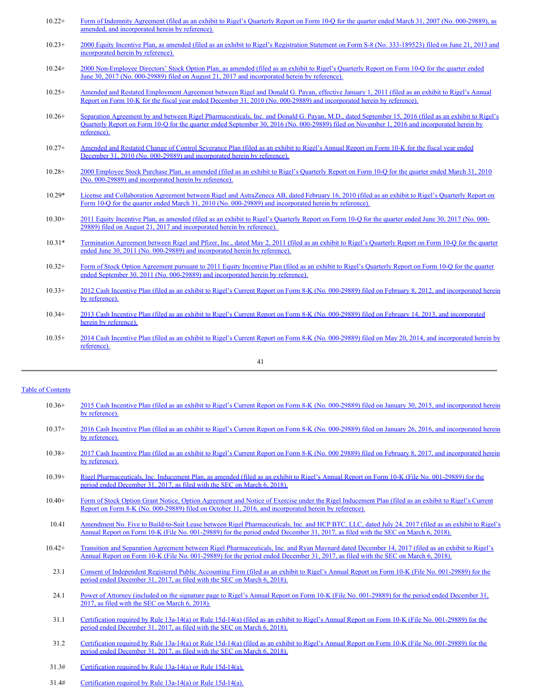| $10.22+$ | Form of Indemnity Agreement (filed as an exhibit to Rigel's Quarterly Report on Form 10-Q for the quarter ended March 31, 2007 (No. 000-29889), as<br>amended, and incorporated herein by reference).                                                                                                             |
|----------|-------------------------------------------------------------------------------------------------------------------------------------------------------------------------------------------------------------------------------------------------------------------------------------------------------------------|
| $10.23+$ | 2000 Equity Incentive Plan, as amended (filed as an exhibit to Rigel's Registration Statement on Form S-8 (No. 333-189523) filed on June 21, 2013 and<br>incorporated herein by reference).                                                                                                                       |
| $10.24+$ | 2000 Non-Employee Directors' Stock Option Plan, as amended (filed as an exhibit to Rigel's Quarterly Report on Form 10-Q for the quarter ended<br>June 30, 2017 (No. 000-29889) filed on August 21, 2017 and incorporated herein by reference).                                                                   |
| $10.25+$ | Amended and Restated Employment Agreement between Rigel and Donald G. Payan, effective January 1, 2011 (filed as an exhibit to Rigel's Annual<br>Report on Form 10-K for the fiscal year ended December 31, 2010 (No. 000-29889) and incorporated herein by reference).                                           |
| $10.26+$ | Separation Agreement by and between Rigel Pharmaceuticals, Inc. and Donald G. Payan, M.D., dated September 15, 2016 (filed as an exhibit to Rigel's<br>Quarterly Report on Form 10-Q for the quarter ended September 30, 2016 (No. 000-29889) filed on November 1, 2016 and incorporated herein by<br>reference). |
| $10.27+$ | Amended and Restated Change of Control Severance Plan (filed as an exhibit to Rigel's Annual Report on Form 10-K for the fiscal year ended<br>December 31, 2010 (No. 000-29889) and incorporated herein by reference).                                                                                            |
| $10.28+$ | 2000 Employee Stock Purchase Plan, as amended (filed as an exhibit to Rigel's Quarterly Report on Form 10-Q for the quarter ended March 31, 2010<br>(No. 000-29889) and incorporated herein by reference).                                                                                                        |
| $10.29*$ | License and Collaboration Agreement between Rigel and AstraZeneca AB, dated February 16, 2010 (filed as an exhibit to Rigel's Quarterly Report on<br>Form 10-O for the quarter ended March 31, 2010 (No. 000-29889) and incorporated herein by reference).                                                        |
| $10.30+$ | 2011 Equity Incentive Plan, as amended (filed as an exhibit to Rigel's Quarterly Report on Form 10-Q for the quarter ended June 30, 2017 (No. 000-<br>29889) filed on August 21, 2017 and incorporated herein by reference).                                                                                      |
| $10.31*$ | Termination Agreement between Rigel and Pfizer, Inc., dated May 2, 2011 (filed as an exhibit to Rigel's Quarterly Report on Form 10-Q for the quarter<br>ended June 30, 2011 (No. 000-29889) and incorporated herein by reference).                                                                               |
| $10.32+$ | Form of Stock Option Agreement pursuant to 2011 Equity Incentive Plan (filed as an exhibit to Rigel's Quarterly Report on Form 10-Q for the quarter<br>ended September 30, 2011 (No. 000-29889) and incorporated herein by reference).                                                                            |
| $10.33+$ | 2012 Cash Incentive Plan (filed as an exhibit to Rigel's Current Report on Form 8-K (No. 000-29889) filed on February 8, 2012, and incorporated herein<br>by reference).                                                                                                                                          |
| $10.34+$ | 2013 Cash Incentive Plan (filed as an exhibit to Rigel's Current Report on Form 8-K (No. 000-29889) filed on February 14, 2013, and incorporated<br>herein by reference).                                                                                                                                         |
| $10.35+$ | 2014 Cash Incentive Plan (filed as an exhibit to Rigel's Current Report on Form 8-K (No. 000-29889) filed on May 20, 2014, and incorporated herein by<br>reference).                                                                                                                                              |

#### 41

## Table of [Contents](#page-1-0)

- 10.36+ 2015 Cash Incentive Plan (filed as an exhibit to Rigel's Current Report on Form 8-K (No. 000-29889) filed on January 30, 2015, and [incorporated](http://www.sec.gov/Archives/edgar/data/1034842/000110465915005680/a15-3449_1ex10d30.htm) herein by reference).
- 10.37+ 2016 Cash Incentive Plan (filed as an exhibit to Rigel's Current Report on Form 8-K (No. 000-29889) filed on January 26, 2016, and [incorporated](http://www.sec.gov/Archives/edgar/data/1034842/000110465916092507/a16-3073_1ex10d30.htm) herein by reference).
- 10.38+ 2017 Cash Incentive Plan (filed as an exhibit to Rigel's Current Report on Form 8-K (No. 000 29889) filed on February 8, 2017, and [incorporated](http://www.sec.gov/Archives/edgar/data/1034842/000110465917007439/a17-4048_1ex10d32.htm) herein by reference).
- 10.39+ Rigel [Pharmaceuticals,](http://www.sec.gov/Archives/edgar/data/1034842/000155837018001555/rigl-20171231ex103954c3c.htm) Inc. Inducement Plan, as amended (filed as an exhibit to Rigel's Annual Report on Form 10-K (File No. 001-29889) for the period ended December 31, 2017, as filed with the SEC on March 6, 2018).
- 10.40+ Form of Stock Option Grant Notice, Option Agreement and Notice of Exercise under the Rigel Inducement Plan (filed as an exhibit to Rigel's Current Report on Form 8-K (No. 000-29889) filed on October 11, 2016, and [incorporated](http://www.sec.gov/Archives/edgar/data/1034842/000110465916149598/a16-19710_1ex10d2.htm) herein by reference).
- 10.41 Amendment No. Five to Build-to-Suit Lease between Rigel [Pharmaceuticals,](http://www.sec.gov/Archives/edgar/data/1034842/000155837018001555/rigl-20171231ex1041569a2.htm) Inc. and HCP BTC, LLC, dated July 24, 2017 (filed as an exhibit to Rigel's Annual Report on Form 10-K (File No. 001-29889) for the period ended December 31, 2017, as filed with the SEC on March 6, 2018).
- 10.42+ Transition and Separation Agreement between Rigel [Pharmaceuticals,](http://www.sec.gov/Archives/edgar/data/1034842/000155837018001555/rigl-20171231ex1042cc59a.htm) Inc. and Ryan Maynard dated December 14, 2017 (filed as an exhibit to Rigel's Annual Report on Form 10-K (File No. 001-29889) for the period ended December 31, 2017, as filed with the SEC on March 6, 2018).
	- 23.1 Consent of [Independent](http://www.sec.gov/Archives/edgar/data/1034842/000155837018001555/rigl-20171231ex231c8d63c.htm) Registered Public Accounting Firm (filed as an exhibit to Rigel's Annual Report on Form 10-K (File No. 001-29889) for the period ended December 31, 2017, as filed with the SEC on March 6, 2018).
	- 24.1 Power of Attorney (included on the signature page to Rigel's Annual Report on Form 10-K (File No. [001-29889\)](http://www.sec.gov/Archives/edgar/data/1034842/000155837018001555/rigl-20171231x10k.htm) for the period ended December 31, 2017, as filed with the SEC on March 6, 2018).
	- 31.1 [Certification](http://www.sec.gov/Archives/edgar/data/1034842/000155837018001555/rigl-20171231ex311751e37.htm) required by Rule 13a-14(a) or Rule 15d-14(a) (filed as an exhibit to Rigel's Annual Report on Form 10-K (File No. 001-29889) for the period ended December 31, 2017, as filed with the SEC on March 6, 2018).
	- 31.2 [Certification](http://www.sec.gov/Archives/edgar/data/1034842/000155837018001555/rigl-20171231ex312768b6f.htm) required by Rule 13a-14(a) or Rule 15d-14(a) (filed as an exhibit to Rigel's Annual Report on Form 10-K (File No. 001-29889) for the period ended December 31, 2017, as filed with the SEC on March 6, 2018).
- 31.3# [Certification](#page-26-0) required by Rule 13a-14(a) or Rule 15d-14(a).
- 31.4# [Certification](#page-27-0) required by Rule 13a-14(a) or Rule 15d-14(a).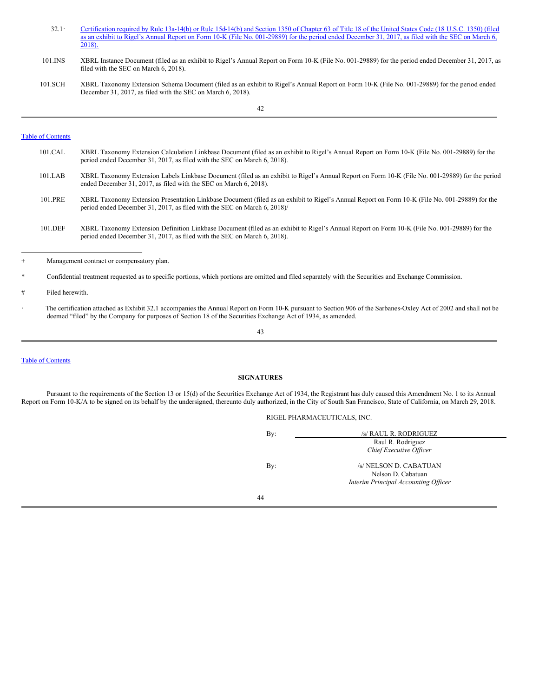- 32.1· [Certification](http://www.sec.gov/Archives/edgar/data/1034842/000155837018001555/rigl-20171231ex32199b12d.htm) required by Rule 13a-14(b) or Rule 15d-14(b) and Section 1350 of Chapter 63 of Title 18 of the United States Code (18 U.S.C. 1350) (filed as an exhibit to Rigel's Annual Report on Form 10-K (File No. 001-29889) for the period ended December 31, 2017, as filed with the SEC on March 6, 2018).
- 101.INS XBRL Instance Document (filed as an exhibit to Rigel's Annual Report on Form 10-K (File No. 001-29889) for the period ended December 31, 2017, as filed with the SEC on March 6, 2018).
- 101.SCH XBRL Taxonomy Extension Schema Document (filed as an exhibit to Rigel's Annual Report on Form 10-K (File No. 001-29889) for the period ended December 31, 2017, as filed with the SEC on March 6, 2018).

## Table of [Contents](#page-1-0)

- 101.CAL XBRL Taxonomy Extension Calculation Linkbase Document (filed as an exhibit to Rigel's Annual Report on Form 10-K (File No. 001-29889) for the period ended December 31, 2017, as filed with the SEC on March 6, 2018).
- 101.LAB XBRL Taxonomy Extension Labels Linkbase Document (filed as an exhibit to Rigel's Annual Report on Form 10-K (File No. 001-29889) for the period ended December 31, 2017, as filed with the SEC on March 6, 2018).
- 101.PRE XBRL Taxonomy Extension Presentation Linkbase Document (filed as an exhibit to Rigel's Annual Report on Form 10-K (File No. 001-29889) for the period ended December 31, 2017, as filed with the SEC on March 6, 2018)/
- 101.DEF XBRL Taxonomy Extension Definition Linkbase Document (filed as an exhibit to Rigel's Annual Report on Form 10-K (File No. 001-29889) for the period ended December 31, 2017, as filed with the SEC on March 6, 2018).

- \* Confidential treatment requested as to specific portions, which portions are omitted and filed separately with the Securities and Exchange Commission.
- # Filed herewith.
- The certification attached as Exhibit 32.1 accompanies the Annual Report on Form 10-K pursuant to Section 906 of the Sarbanes-Oxley Act of 2002 and shall not be deemed "filed" by the Company for purposes of Section 18 of the Securities Exchange Act of 1934, as amended.

43

#### Table of [Contents](#page-1-0)

## <span id="page-25-0"></span>**SIGNATURES**

Pursuant to the requirements of the Section 13 or 15(d) of the Securities Exchange Act of 1934, the Registrant has duly caused this Amendment No. 1 to its Annual Report on Form 10-K/A to be signed on its behalf by the undersigned, thereunto duly authorized, in the City of South San Francisco, State of California, on March 29, 2018.

#### RIGEL PHARMACEUTICALS, INC.



Management contract or compensatory plan.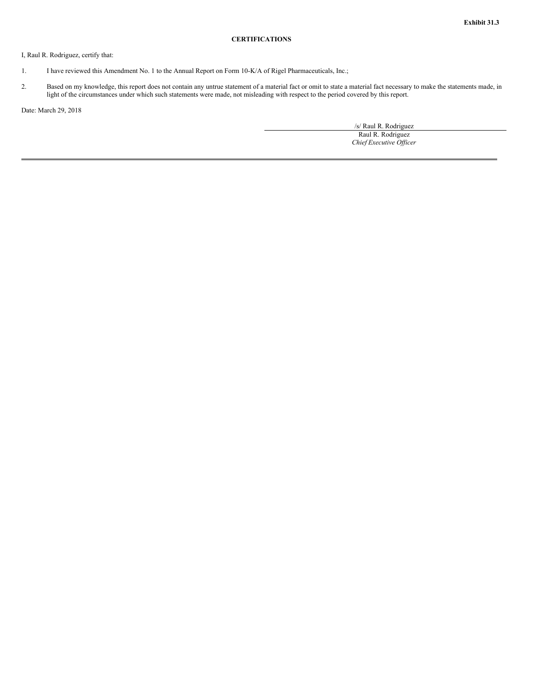# **CERTIFICATIONS**

## I, Raul R. Rodriguez, certify that:

- 1. I have reviewed this Amendment No. 1 to the Annual Report on Form 10-K/A of Rigel Pharmaceuticals, Inc.;
- 2. Based on my knowledge, this report does not contain any untrue statement of a material fact or omit to state a material fact necessary to make the statements made, in light of the circumstances under which such statements were made, not misleading with respect to the period covered by this report.

Date: March 29, 2018

<span id="page-26-0"></span>/s/ Raul R. Rodriguez Raul R. Rodriguez *Chief Executive Of icer*